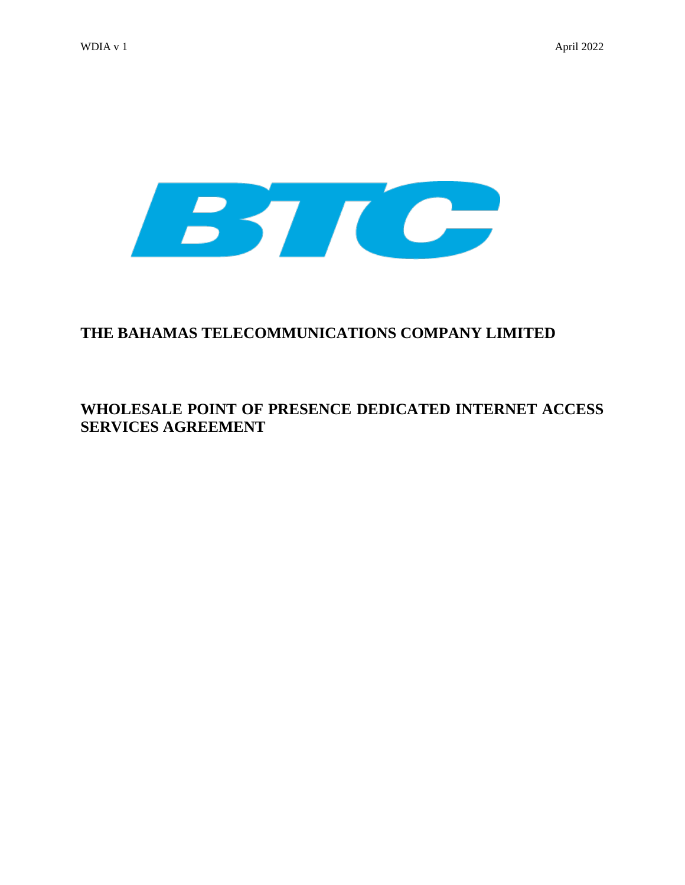

# **THE BAHAMAS TELECOMMUNICATIONS COMPANY LIMITED**

# **WHOLESALE POINT OF PRESENCE DEDICATED INTERNET ACCESS SERVICES AGREEMENT**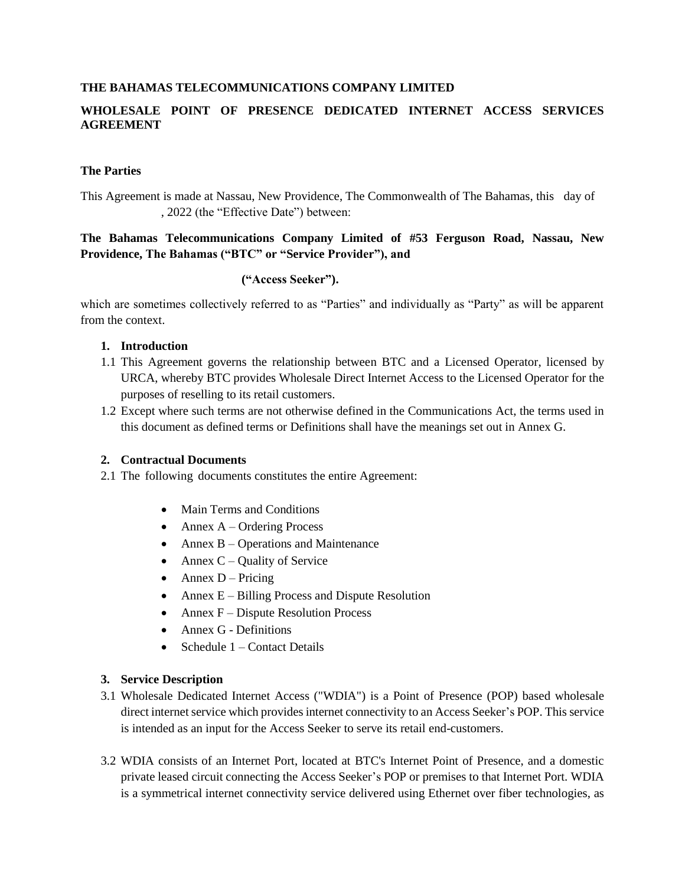## **THE BAHAMAS TELECOMMUNICATIONS COMPANY LIMITED**

## **WHOLESALE POINT OF PRESENCE DEDICATED INTERNET ACCESS SERVICES AGREEMENT**

#### **The Parties**

This Agreement is made at Nassau, New Providence, The Commonwealth of The Bahamas, this day of , 2022 (the "Effective Date") between:

## **The Bahamas Telecommunications Company Limited of #53 Ferguson Road, Nassau, New Providence, The Bahamas ("BTC" or "Service Provider"), and**

## **("Access Seeker").**

which are sometimes collectively referred to as "Parties" and individually as "Party" as will be apparent from the context.

#### **1. Introduction**

- 1.1 This Agreement governs the relationship between BTC and a Licensed Operator, licensed by URCA, whereby BTC provides Wholesale Direct Internet Access to the Licensed Operator for the purposes of reselling to its retail customers.
- 1.2 Except where such terms are not otherwise defined in the Communications Act, the terms used in this document as defined terms or Definitions shall have the meanings set out in Annex G.

#### **2. Contractual Documents**

- 2.1 The following documents constitutes the entire Agreement:
	- Main Terms and Conditions
	- $\bullet$  Annex A Ordering Process
	- Annex  $B -$ Operations and Maintenance
	- Annex  $C$  Quality of Service
	- $\bullet$  Annex D Pricing
	- Annex  $E B$ illing Process and Dispute Resolution
	- Annex  $F -$ Dispute Resolution Process
	- Annex G Definitions
	- Schedule 1 Contact Details

#### **3. Service Description**

- 3.1 Wholesale Dedicated Internet Access ("WDIA") is a Point of Presence (POP) based wholesale direct internet service which provides internet connectivity to an Access Seeker's POP. This service is intended as an input for the Access Seeker to serve its retail end-customers.
- 3.2 WDIA consists of an Internet Port, located at BTC's Internet Point of Presence, and a domestic private leased circuit connecting the Access Seeker's POP or premises to that Internet Port. WDIA is a symmetrical internet connectivity service delivered using Ethernet over fiber technologies, as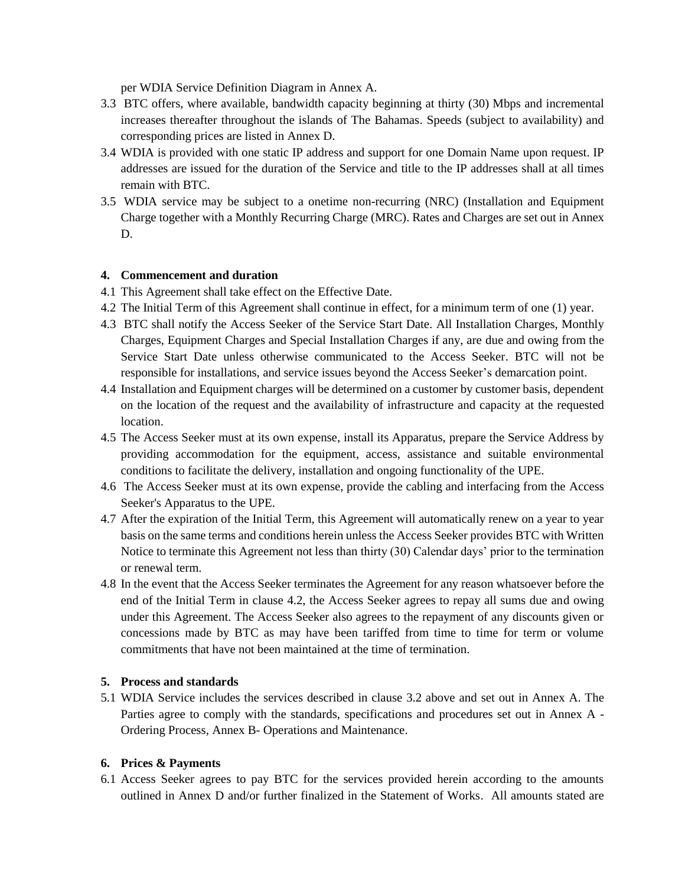per WDIA Service Definition Diagram in Annex A.

- 3.3 BTC offers, where available, bandwidth capacity beginning at thirty (30) Mbps and incremental increases thereafter throughout the islands of The Bahamas. Speeds (subject to availability) and corresponding prices are listed in Annex D.
- 3.4 WDIA is provided with one static IP address and support for one Domain Name upon request. IP addresses are issued for the duration of the Service and title to the IP addresses shall at all times remain with BTC.
- 3.5 WDIA service may be subject to a onetime non-recurring (NRC) (Installation and Equipment Charge together with a Monthly Recurring Charge (MRC). Rates and Charges are set out in Annex D.

## **4. Commencement and duration**

- 4.1 This Agreement shall take effect on the Effective Date.
- 4.2 The Initial Term of this Agreement shall continue in effect, for a minimum term of one (1) year.
- 4.3 BTC shall notify the Access Seeker of the Service Start Date. All Installation Charges, Monthly Charges, Equipment Charges and Special Installation Charges if any, are due and owing from the Service Start Date unless otherwise communicated to the Access Seeker. BTC will not be responsible for installations, and service issues beyond the Access Seeker's demarcation point.
- 4.4 Installation and Equipment charges will be determined on a customer by customer basis, dependent on the location of the request and the availability of infrastructure and capacity at the requested location.
- 4.5 The Access Seeker must at its own expense, install its Apparatus, prepare the Service Address by providing accommodation for the equipment, access, assistance and suitable environmental conditions to facilitate the delivery, installation and ongoing functionality of the UPE.
- 4.6 The Access Seeker must at its own expense, provide the cabling and interfacing from the Access Seeker's Apparatus to the UPE.
- 4.7 After the expiration of the Initial Term, this Agreement will automatically renew on a year to year basis on the same terms and conditions herein unless the Access Seeker provides BTC with Written Notice to terminate this Agreement not less than thirty (30) Calendar days' prior to the termination or renewal term.
- 4.8 In the event that the Access Seeker terminates the Agreement for any reason whatsoever before the end of the Initial Term in clause 4.2, the Access Seeker agrees to repay all sums due and owing under this Agreement. The Access Seeker also agrees to the repayment of any discounts given or concessions made by BTC as may have been tariffed from time to time for term or volume commitments that have not been maintained at the time of termination.

#### **5. Process and standards**

5.1 WDIA Service includes the services described in clause 3.2 above and set out in Annex A. The Parties agree to comply with the standards, specifications and procedures set out in Annex A - Ordering Process, Annex B- Operations and Maintenance.

#### **6. Prices & Payments**

6.1 Access Seeker agrees to pay BTC for the services provided herein according to the amounts outlined in Annex D and/or further finalized in the Statement of Works. All amounts stated are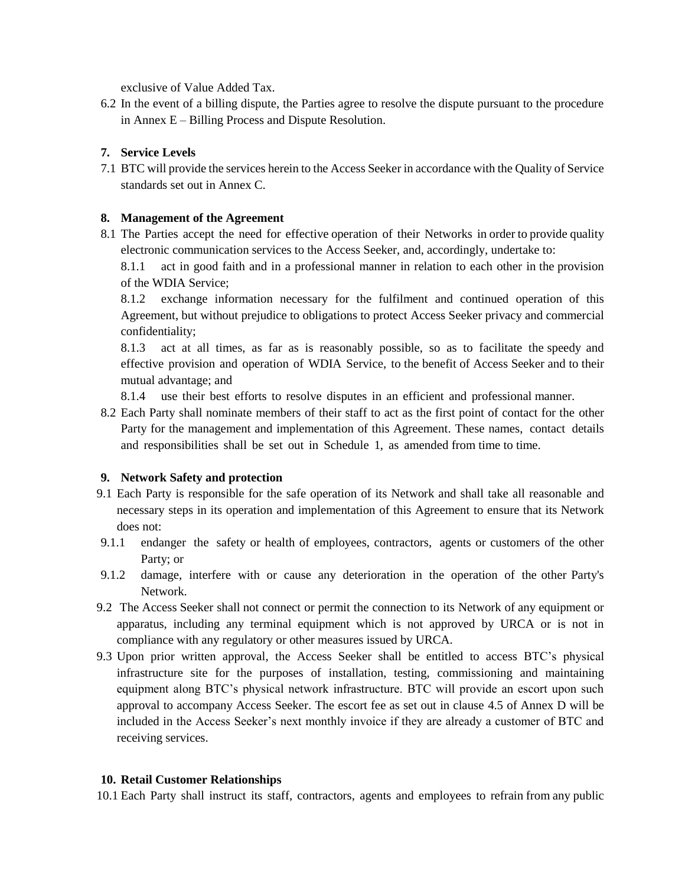exclusive of Value Added Tax.

6.2 In the event of a billing dispute, the Parties agree to resolve the dispute pursuant to the procedure in Annex  $E - B$ illing Process and Dispute Resolution.

## **7. Service Levels**

7.1 BTC will provide the services herein to the Access Seeker in accordance with the Quality of Service standards set out in Annex C.

## **8. Management of the Agreement**

8.1 The Parties accept the need for effective operation of their Networks in order to provide quality electronic communication services to the Access Seeker, and, accordingly, undertake to:

8.1.1 act in good faith and in a professional manner in relation to each other in the provision of the WDIA Service;

8.1.2 exchange information necessary for the fulfilment and continued operation of this Agreement, but without prejudice to obligations to protect Access Seeker privacy and commercial confidentiality;

8.1.3 act at all times, as far as is reasonably possible, so as to facilitate the speedy and effective provision and operation of WDIA Service, to the benefit of Access Seeker and to their mutual advantage; and

8.1.4 use their best efforts to resolve disputes in an efficient and professional manner.

8.2 Each Party shall nominate members of their staff to act as the first point of contact for the other Party for the management and implementation of this Agreement. These names, contact details and responsibilities shall be set out in Schedule 1, as amended from time to time.

#### **9. Network Safety and protection**

- 9.1 Each Party is responsible for the safe operation of its Network and shall take all reasonable and necessary steps in its operation and implementation of this Agreement to ensure that its Network does not:
- 9.1.1 endanger the safety or health of employees, contractors, agents or customers of the other Party; or
- 9.1.2 damage, interfere with or cause any deterioration in the operation of the other Party's Network.
- 9.2 The Access Seeker shall not connect or permit the connection to its Network of any equipment or apparatus, including any terminal equipment which is not approved by URCA or is not in compliance with any regulatory or other measures issued by URCA.
- 9.3 Upon prior written approval, the Access Seeker shall be entitled to access BTC's physical infrastructure site for the purposes of installation, testing, commissioning and maintaining equipment along BTC's physical network infrastructure. BTC will provide an escort upon such approval to accompany Access Seeker. The escort fee as set out in clause 4.5 of Annex D will be included in the Access Seeker's next monthly invoice if they are already a customer of BTC and receiving services.

#### **10. Retail Customer Relationships**

10.1 Each Party shall instruct its staff, contractors, agents and employees to refrain from any public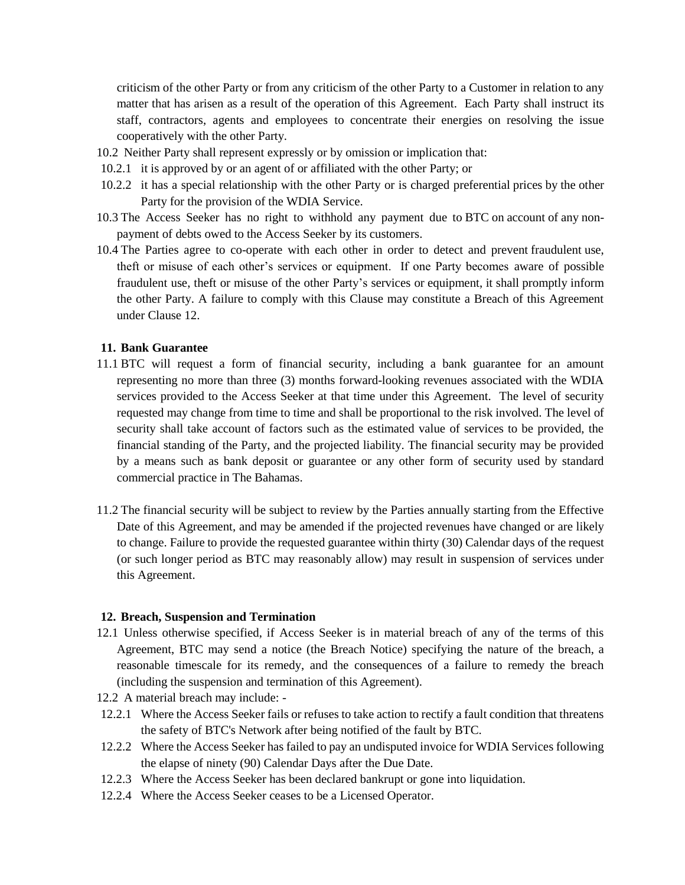criticism of the other Party or from any criticism of the other Party to a Customer in relation to any matter that has arisen as a result of the operation of this Agreement. Each Party shall instruct its staff, contractors, agents and employees to concentrate their energies on resolving the issue cooperatively with the other Party.

- 10.2 Neither Party shall represent expressly or by omission or implication that:
- 10.2.1 it is approved by or an agent of or affiliated with the other Party; or
- 10.2.2 it has a special relationship with the other Party or is charged preferential prices by the other Party for the provision of the WDIA Service.
- 10.3 The Access Seeker has no right to withhold any payment due to BTC on account of any nonpayment of debts owed to the Access Seeker by its customers.
- 10.4 The Parties agree to co-operate with each other in order to detect and prevent fraudulent use, theft or misuse of each other's services or equipment. If one Party becomes aware of possible fraudulent use, theft or misuse of the other Party's services or equipment, it shall promptly inform the other Party. A failure to comply with this Clause may constitute a Breach of this Agreement under Clause 12.

#### **11. Bank Guarantee**

- 11.1 BTC will request a form of financial security, including a bank guarantee for an amount representing no more than three (3) months forward-looking revenues associated with the WDIA services provided to the Access Seeker at that time under this Agreement. The level of security requested may change from time to time and shall be proportional to the risk involved. The level of security shall take account of factors such as the estimated value of services to be provided, the financial standing of the Party, and the projected liability. The financial security may be provided by a means such as bank deposit or guarantee or any other form of security used by standard commercial practice in The Bahamas.
- 11.2 The financial security will be subject to review by the Parties annually starting from the Effective Date of this Agreement, and may be amended if the projected revenues have changed or are likely to change. Failure to provide the requested guarantee within thirty (30) Calendar days of the request (or such longer period as BTC may reasonably allow) may result in suspension of services under this Agreement.

#### **12. Breach, Suspension and Termination**

- 12.1 Unless otherwise specified, if Access Seeker is in material breach of any of the terms of this Agreement, BTC may send a notice (the Breach Notice) specifying the nature of the breach, a reasonable timescale for its remedy, and the consequences of a failure to remedy the breach (including the suspension and termination of this Agreement).
- 12.2 A material breach may include: -
- 12.2.1 Where the Access Seeker fails or refuses to take action to rectify a fault condition that threatens the safety of BTC's Network after being notified of the fault by BTC.
- 12.2.2 Where the Access Seeker has failed to pay an undisputed invoice for WDIA Services following the elapse of ninety (90) Calendar Days after the Due Date.
- 12.2.3 Where the Access Seeker has been declared bankrupt or gone into liquidation.
- 12.2.4 Where the Access Seeker ceases to be a Licensed Operator.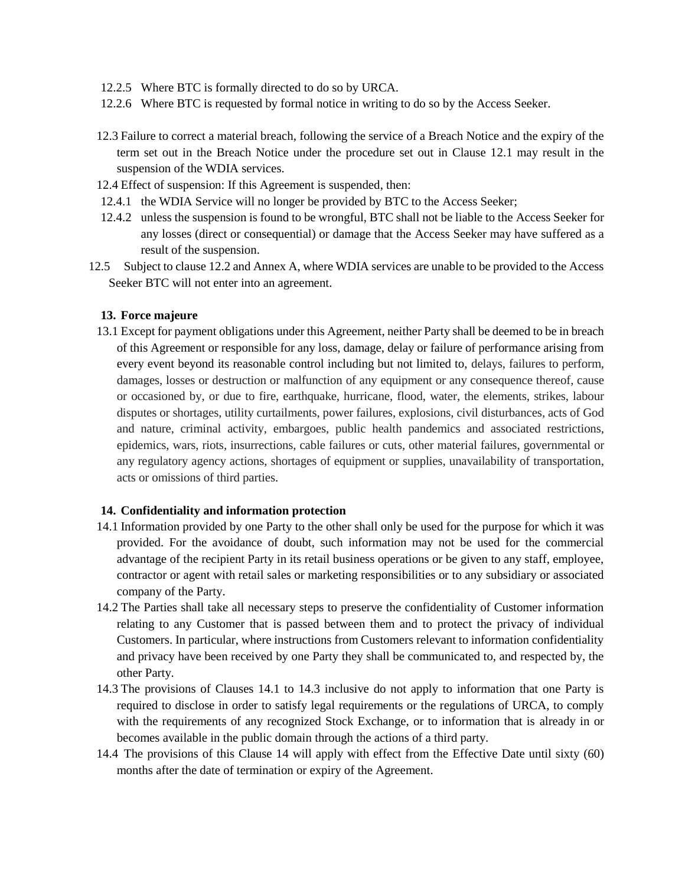- 12.2.5 Where BTC is formally directed to do so by URCA.
- 12.2.6 Where BTC is requested by formal notice in writing to do so by the Access Seeker.
- 12.3 Failure to correct a material breach, following the service of a Breach Notice and the expiry of the term set out in the Breach Notice under the procedure set out in Clause 12.1 may result in the suspension of the WDIA services.
- 12.4 Effect of suspension: If this Agreement is suspended, then:
- 12.4.1 the WDIA Service will no longer be provided by BTC to the Access Seeker;
- 12.4.2 unless the suspension is found to be wrongful, BTC shall not be liable to the Access Seeker for any losses (direct or consequential) or damage that the Access Seeker may have suffered as a result of the suspension.
- 12.5 Subject to clause 12.2 and Annex A, where WDIA services are unable to be provided to the Access Seeker BTC will not enter into an agreement.

#### **13. Force majeure**

13.1 Except for payment obligations under this Agreement, neither Party shall be deemed to be in breach of this Agreement or responsible for any loss, damage, delay or failure of performance arising from every event beyond its reasonable control including but not limited to, delays, failures to perform, damages, losses or destruction or malfunction of any equipment or any consequence thereof, cause or occasioned by, or due to fire, earthquake, hurricane, flood, water, the elements, strikes, labour disputes or shortages, utility curtailments, power failures, explosions, civil disturbances, acts of God and nature, criminal activity, embargoes, public health pandemics and associated restrictions, epidemics, wars, riots, insurrections, cable failures or cuts, other material failures, governmental or any regulatory agency actions, shortages of equipment or supplies, unavailability of transportation, acts or omissions of third parties.

#### **14. Confidentiality and information protection**

- 14.1 Information provided by one Party to the other shall only be used for the purpose for which it was provided. For the avoidance of doubt, such information may not be used for the commercial advantage of the recipient Party in its retail business operations or be given to any staff, employee, contractor or agent with retail sales or marketing responsibilities or to any subsidiary or associated company of the Party.
- 14.2 The Parties shall take all necessary steps to preserve the confidentiality of Customer information relating to any Customer that is passed between them and to protect the privacy of individual Customers. In particular, where instructions from Customers relevant to information confidentiality and privacy have been received by one Party they shall be communicated to, and respected by, the other Party.
- 14.3 The provisions of Clauses 14.1 to 14.3 inclusive do not apply to information that one Party is required to disclose in order to satisfy legal requirements or the regulations of URCA, to comply with the requirements of any recognized Stock Exchange, or to information that is already in or becomes available in the public domain through the actions of a third party.
- 14.4 The provisions of this Clause 14 will apply with effect from the Effective Date until sixty (60) months after the date of termination or expiry of the Agreement.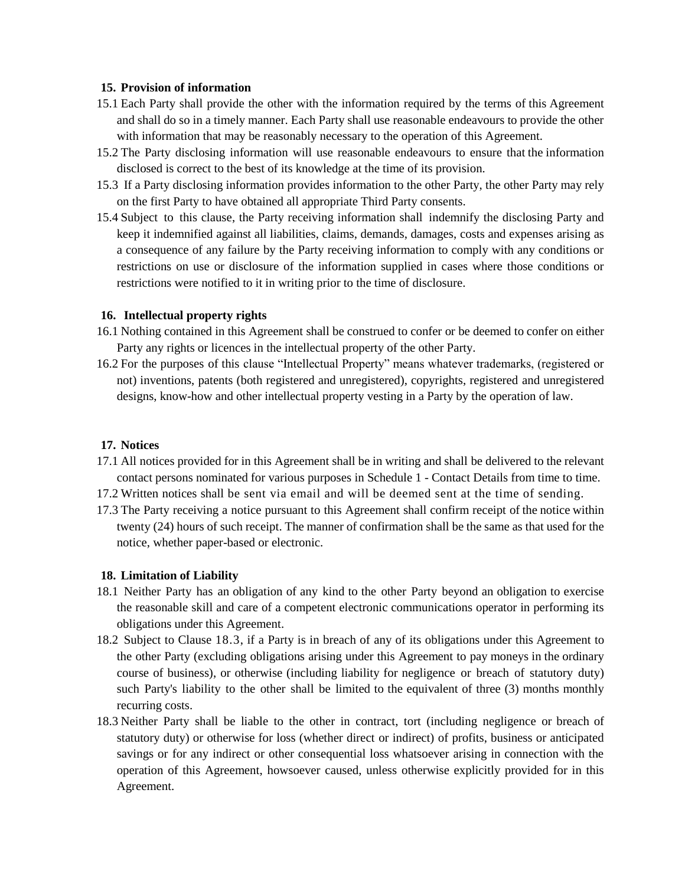#### **15. Provision of information**

- 15.1 Each Party shall provide the other with the information required by the terms of this Agreement and shall do so in a timely manner. Each Party shall use reasonable endeavours to provide the other with information that may be reasonably necessary to the operation of this Agreement.
- 15.2 The Party disclosing information will use reasonable endeavours to ensure that the information disclosed is correct to the best of its knowledge at the time of its provision.
- 15.3 If a Party disclosing information provides information to the other Party, the other Party may rely on the first Party to have obtained all appropriate Third Party consents.
- 15.4 Subject to this clause, the Party receiving information shall indemnify the disclosing Party and keep it indemnified against all liabilities, claims, demands, damages, costs and expenses arising as a consequence of any failure by the Party receiving information to comply with any conditions or restrictions on use or disclosure of the information supplied in cases where those conditions or restrictions were notified to it in writing prior to the time of disclosure.

#### **16. Intellectual property rights**

- 16.1 Nothing contained in this Agreement shall be construed to confer or be deemed to confer on either Party any rights or licences in the intellectual property of the other Party.
- 16.2 For the purposes of this clause "Intellectual Property" means whatever trademarks, (registered or not) inventions, patents (both registered and unregistered), copyrights, registered and unregistered designs, know-how and other intellectual property vesting in a Party by the operation of law.

#### **17. Notices**

- 17.1 All notices provided for in this Agreement shall be in writing and shall be delivered to the relevant contact persons nominated for various purposes in Schedule 1 - Contact Details from time to time.
- 17.2 Written notices shall be sent via email and will be deemed sent at the time of sending.
- 17.3 The Party receiving a notice pursuant to this Agreement shall confirm receipt of the notice within twenty (24) hours of such receipt. The manner of confirmation shall be the same as that used for the notice, whether paper-based or electronic.

#### **18. Limitation of Liability**

- 18.1 Neither Party has an obligation of any kind to the other Party beyond an obligation to exercise the reasonable skill and care of a competent electronic communications operator in performing its obligations under this Agreement.
- 18.2 Subject to Clause 18.3, if a Party is in breach of any of its obligations under this Agreement to the other Party (excluding obligations arising under this Agreement to pay moneys in the ordinary course of business), or otherwise (including liability for negligence or breach of statutory duty) such Party's liability to the other shall be limited to the equivalent of three (3) months monthly recurring costs.
- 18.3 Neither Party shall be liable to the other in contract, tort (including negligence or breach of statutory duty) or otherwise for loss (whether direct or indirect) of profits, business or anticipated savings or for any indirect or other consequential loss whatsoever arising in connection with the operation of this Agreement, howsoever caused, unless otherwise explicitly provided for in this Agreement.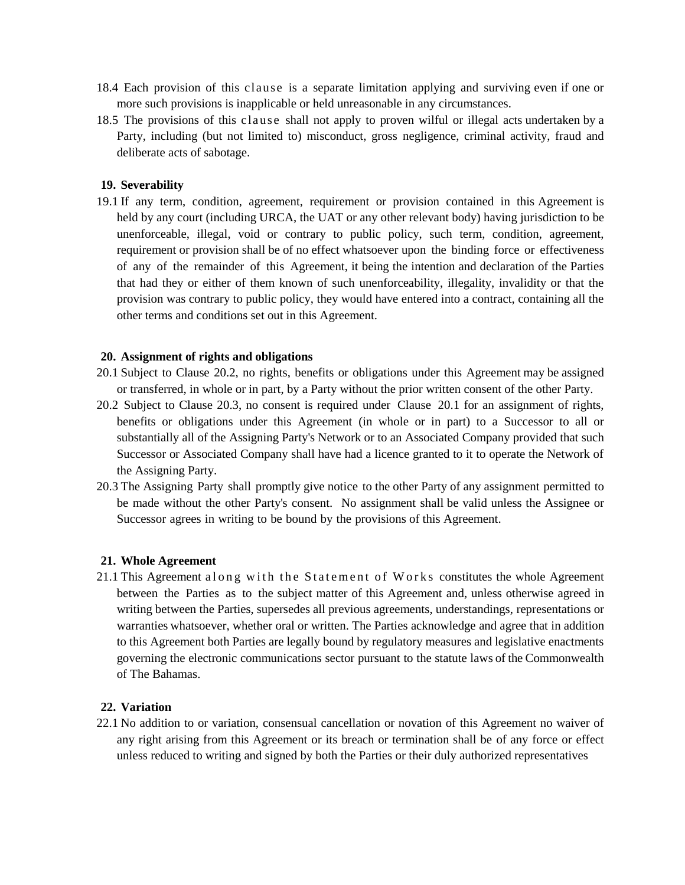- 18.4 Each provision of this clause is a separate limitation applying and surviving even if one or more such provisions is inapplicable or held unreasonable in any circumstances.
- 18.5 The provisions of this clause shall not apply to proven wilful or illegal acts undertaken by a Party, including (but not limited to) misconduct, gross negligence, criminal activity, fraud and deliberate acts of sabotage.

## **19. Severability**

19.1 If any term, condition, agreement, requirement or provision contained in this Agreement is held by any court (including URCA, the UAT or any other relevant body) having jurisdiction to be unenforceable, illegal, void or contrary to public policy, such term, condition, agreement, requirement or provision shall be of no effect whatsoever upon the binding force or effectiveness of any of the remainder of this Agreement, it being the intention and declaration of the Parties that had they or either of them known of such unenforceability, illegality, invalidity or that the provision was contrary to public policy, they would have entered into a contract, containing all the other terms and conditions set out in this Agreement.

#### **20. Assignment of rights and obligations**

- 20.1 Subject to Clause 20.2, no rights, benefits or obligations under this Agreement may be assigned or transferred, in whole or in part, by a Party without the prior written consent of the other Party.
- 20.2 Subject to Clause 20.3, no consent is required under Clause 20.1 for an assignment of rights, benefits or obligations under this Agreement (in whole or in part) to a Successor to all or substantially all of the Assigning Party's Network or to an Associated Company provided that such Successor or Associated Company shall have had a licence granted to it to operate the Network of the Assigning Party.
- 20.3 The Assigning Party shall promptly give notice to the other Party of any assignment permitted to be made without the other Party's consent. No assignment shall be valid unless the Assignee or Successor agrees in writing to be bound by the provisions of this Agreement.

#### **21. Whole Agreement**

21.1 This Agreement along with the Statement of Works constitutes the whole Agreement between the Parties as to the subject matter of this Agreement and, unless otherwise agreed in writing between the Parties, supersedes all previous agreements, understandings, representations or warranties whatsoever, whether oral or written. The Parties acknowledge and agree that in addition to this Agreement both Parties are legally bound by regulatory measures and legislative enactments governing the electronic communications sector pursuant to the statute laws of the Commonwealth of The Bahamas.

#### **22. Variation**

22.1 No addition to or variation, consensual cancellation or novation of this Agreement no waiver of any right arising from this Agreement or its breach or termination shall be of any force or effect unless reduced to writing and signed by both the Parties or their duly authorized representatives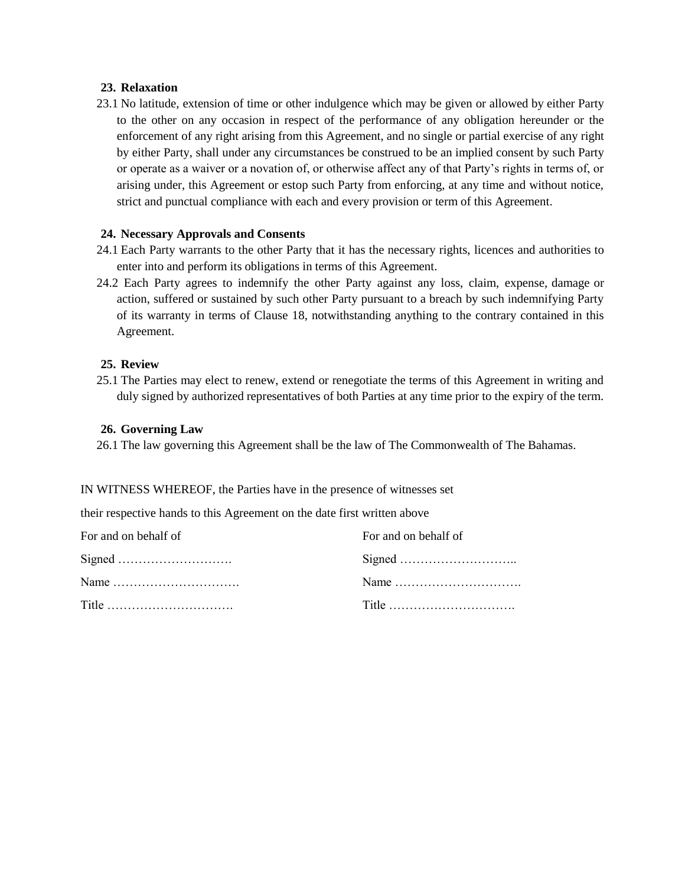#### **23. Relaxation**

23.1 No latitude, extension of time or other indulgence which may be given or allowed by either Party to the other on any occasion in respect of the performance of any obligation hereunder or the enforcement of any right arising from this Agreement, and no single or partial exercise of any right by either Party, shall under any circumstances be construed to be an implied consent by such Party or operate as a waiver or a novation of, or otherwise affect any of that Party's rights in terms of, or arising under, this Agreement or estop such Party from enforcing, at any time and without notice, strict and punctual compliance with each and every provision or term of this Agreement.

#### **24. Necessary Approvals and Consents**

- 24.1 Each Party warrants to the other Party that it has the necessary rights, licences and authorities to enter into and perform its obligations in terms of this Agreement.
- 24.2 Each Party agrees to indemnify the other Party against any loss, claim, expense, damage or action, suffered or sustained by such other Party pursuant to a breach by such indemnifying Party of its warranty in terms of Clause 18, notwithstanding anything to the contrary contained in this Agreement.

#### **25. Review**

25.1 The Parties may elect to renew, extend or renegotiate the terms of this Agreement in writing and duly signed by authorized representatives of both Parties at any time prior to the expiry of the term.

#### **26. Governing Law**

26.1 The law governing this Agreement shall be the law of The Commonwealth of The Bahamas.

#### IN WITNESS WHEREOF, the Parties have in the presence of witnesses set

their respective hands to this Agreement on the date first written above

| For and on behalf of | For and on behalf of |
|----------------------|----------------------|
|                      |                      |
| Name                 |                      |
|                      |                      |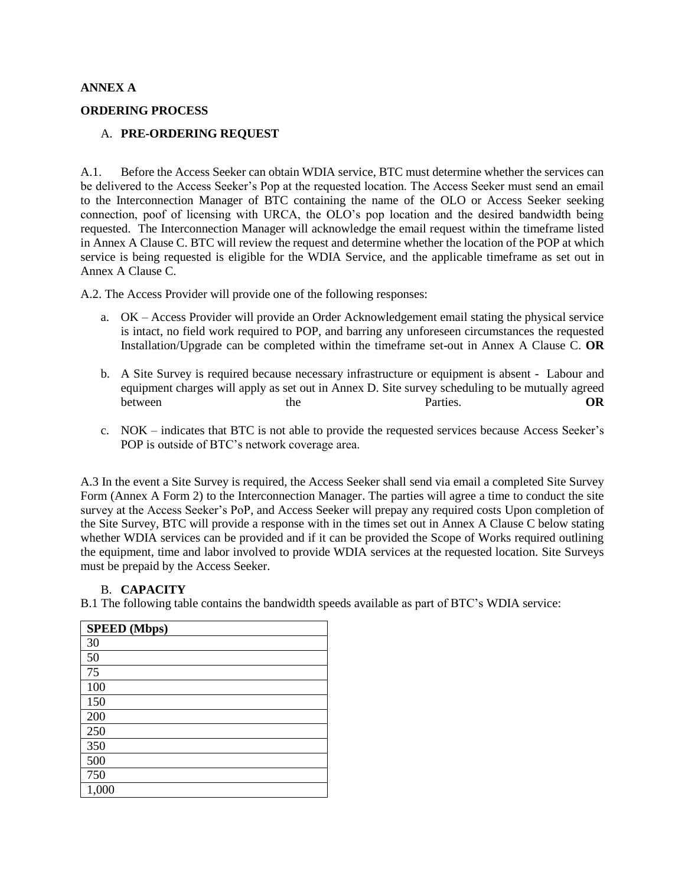#### **ANNEX A**

#### **ORDERING PROCESS**

#### A. **PRE-ORDERING REQUEST**

A.1. Before the Access Seeker can obtain WDIA service, BTC must determine whether the services can be delivered to the Access Seeker's Pop at the requested location. The Access Seeker must send an email to the Interconnection Manager of BTC containing the name of the OLO or Access Seeker seeking connection, poof of licensing with URCA, the OLO's pop location and the desired bandwidth being requested. The Interconnection Manager will acknowledge the email request within the timeframe listed in Annex A Clause C. BTC will review the request and determine whether the location of the POP at which service is being requested is eligible for the WDIA Service, and the applicable timeframe as set out in Annex A Clause C.

A.2. The Access Provider will provide one of the following responses:

- a. OK Access Provider will provide an Order Acknowledgement email stating the physical service is intact, no field work required to POP, and barring any unforeseen circumstances the requested Installation/Upgrade can be completed within the timeframe set-out in Annex A Clause C. **OR**
- b. A Site Survey is required because necessary infrastructure or equipment is absent Labour and equipment charges will apply as set out in Annex D. Site survey scheduling to be mutually agreed between the the Parties. OR
- c. NOK indicates that BTC is not able to provide the requested services because Access Seeker's POP is outside of BTC's network coverage area.

A.3 In the event a Site Survey is required, the Access Seeker shall send via email a completed Site Survey Form (Annex A Form 2) to the Interconnection Manager. The parties will agree a time to conduct the site survey at the Access Seeker's PoP, and Access Seeker will prepay any required costs Upon completion of the Site Survey, BTC will provide a response with in the times set out in Annex A Clause C below stating whether WDIA services can be provided and if it can be provided the Scope of Works required outlining the equipment, time and labor involved to provide WDIA services at the requested location. Site Surveys must be prepaid by the Access Seeker.

#### B. **CAPACITY**

B.1 The following table contains the bandwidth speeds available as part of BTC's WDIA service:

| <b>SPEED</b> (Mbps) |
|---------------------|
| 30                  |
| 50                  |
| 75                  |
| 100                 |
| 150                 |
| 200                 |
| 250                 |
| 350                 |
| 500                 |
| 750                 |
| 1,000               |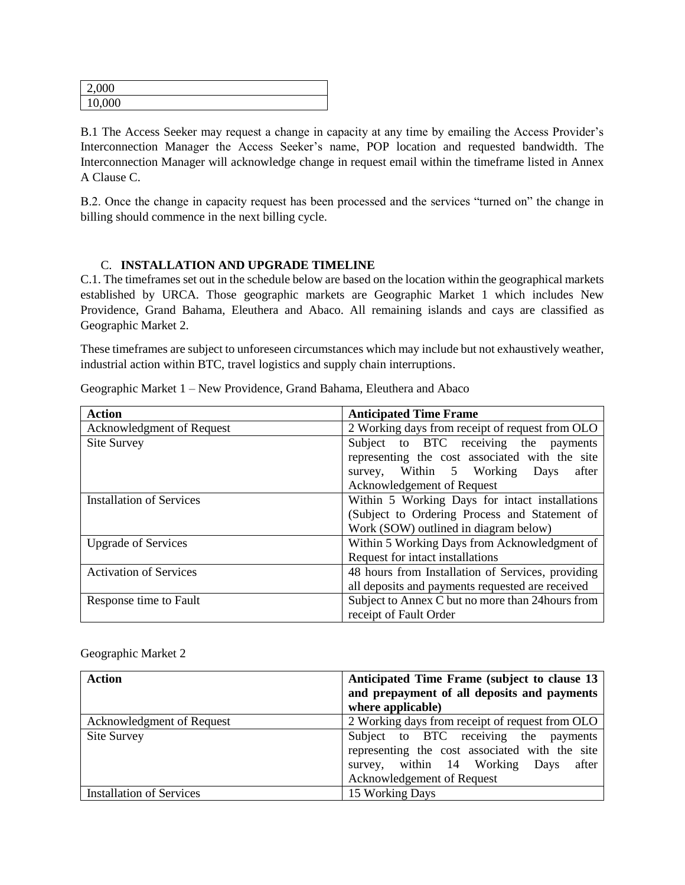| 2,000  |  |
|--------|--|
| 10,000 |  |

B.1 The Access Seeker may request a change in capacity at any time by emailing the Access Provider's Interconnection Manager the Access Seeker's name, POP location and requested bandwidth. The Interconnection Manager will acknowledge change in request email within the timeframe listed in Annex A Clause C.

B.2. Once the change in capacity request has been processed and the services "turned on" the change in billing should commence in the next billing cycle.

## C. **INSTALLATION AND UPGRADE TIMELINE**

C.1. The timeframes set out in the schedule below are based on the location within the geographical markets established by URCA. Those geographic markets are Geographic Market 1 which includes New Providence, Grand Bahama, Eleuthera and Abaco. All remaining islands and cays are classified as Geographic Market 2.

These timeframes are subject to unforeseen circumstances which may include but not exhaustively weather, industrial action within BTC, travel logistics and supply chain interruptions.

| <b>Action</b>                                                                      | <b>Anticipated Time Frame</b>                     |  |  |  |  |  |  |
|------------------------------------------------------------------------------------|---------------------------------------------------|--|--|--|--|--|--|
| 2 Working days from receipt of request from OLO<br>Acknowledgment of Request       |                                                   |  |  |  |  |  |  |
| Subject to BTC receiving the payments<br><b>Site Survey</b>                        |                                                   |  |  |  |  |  |  |
|                                                                                    | representing the cost associated with the site    |  |  |  |  |  |  |
|                                                                                    | survey, Within 5 Working Days<br>after            |  |  |  |  |  |  |
|                                                                                    | Acknowledgement of Request                        |  |  |  |  |  |  |
| <b>Installation of Services</b>                                                    | Within 5 Working Days for intact installations    |  |  |  |  |  |  |
| (Subject to Ordering Process and Statement of                                      |                                                   |  |  |  |  |  |  |
|                                                                                    | Work (SOW) outlined in diagram below)             |  |  |  |  |  |  |
| <b>Upgrade of Services</b>                                                         | Within 5 Working Days from Acknowledgment of      |  |  |  |  |  |  |
|                                                                                    | Request for intact installations                  |  |  |  |  |  |  |
| 48 hours from Installation of Services, providing<br><b>Activation of Services</b> |                                                   |  |  |  |  |  |  |
|                                                                                    | all deposits and payments requested are received  |  |  |  |  |  |  |
| Response time to Fault                                                             | Subject to Annex C but no more than 24 hours from |  |  |  |  |  |  |
|                                                                                    | receipt of Fault Order                            |  |  |  |  |  |  |

Geographic Market 1 – New Providence, Grand Bahama, Eleuthera and Abaco

| <b>Action</b>                   | Anticipated Time Frame (subject to clause 13<br>and prepayment of all deposits and payments<br>where applicable)                                                 |  |  |  |  |  |
|---------------------------------|------------------------------------------------------------------------------------------------------------------------------------------------------------------|--|--|--|--|--|
| Acknowledgment of Request       | 2 Working days from receipt of request from OLO                                                                                                                  |  |  |  |  |  |
| Site Survey                     | Subject to BTC receiving the payments<br>representing the cost associated with the site<br>survey, within 14 Working Days<br>after<br>Acknowledgement of Request |  |  |  |  |  |
| <b>Installation of Services</b> | 15 Working Days                                                                                                                                                  |  |  |  |  |  |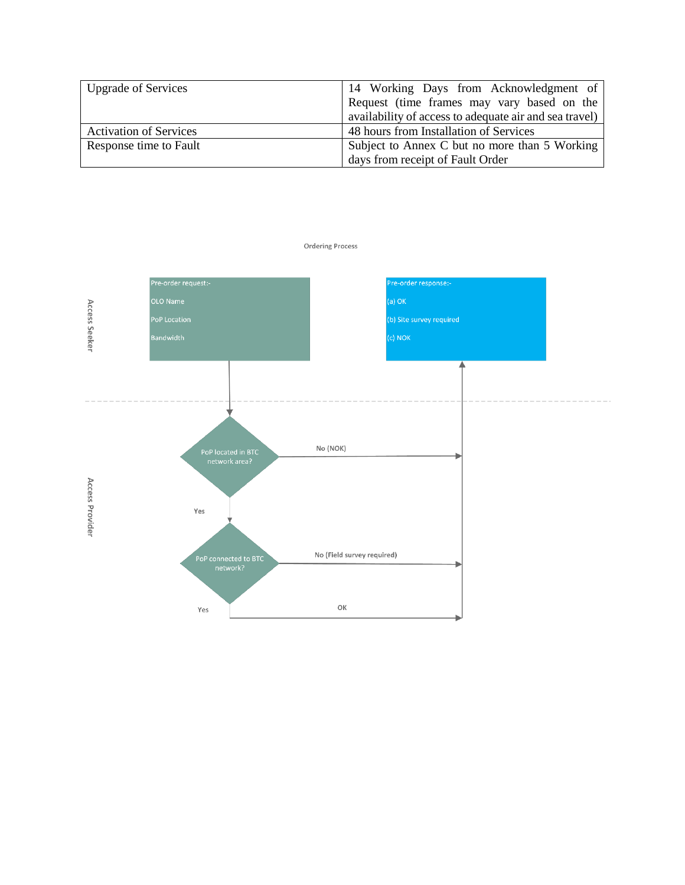| <b>Upgrade of Services</b>    | 14 Working Days from Acknowledgment of                 |
|-------------------------------|--------------------------------------------------------|
|                               | Request (time frames may vary based on the             |
|                               | availability of access to adequate air and sea travel) |
| <b>Activation of Services</b> | 48 hours from Installation of Services                 |
| Response time to Fault        | Subject to Annex C but no more than 5 Working          |
|                               | days from receipt of Fault Order                       |



**Ordering Process**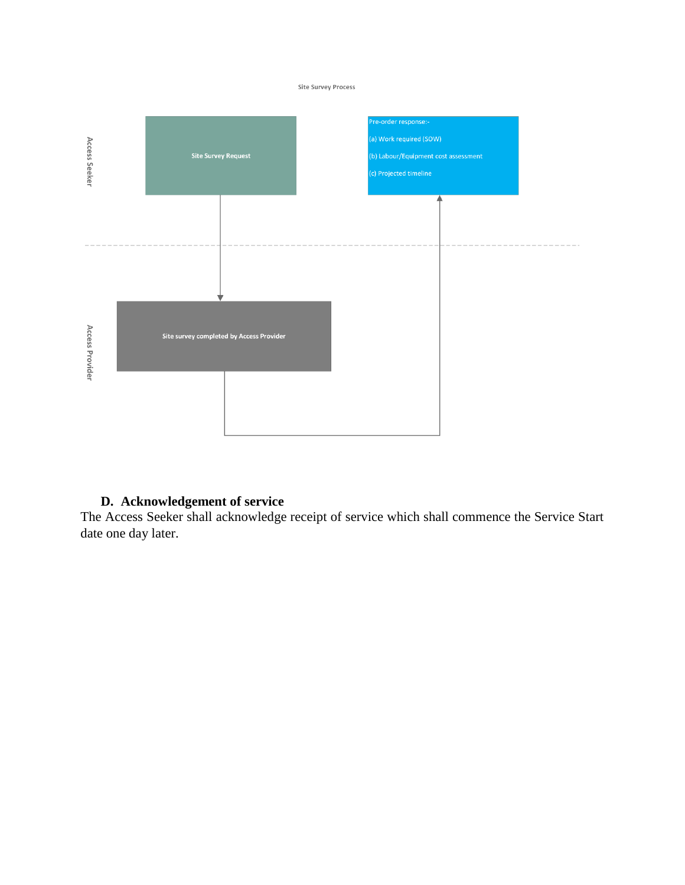#### Site Survey Process



## **D. Acknowledgement of service**

The Access Seeker shall acknowledge receipt of service which shall commence the Service Start date one day later.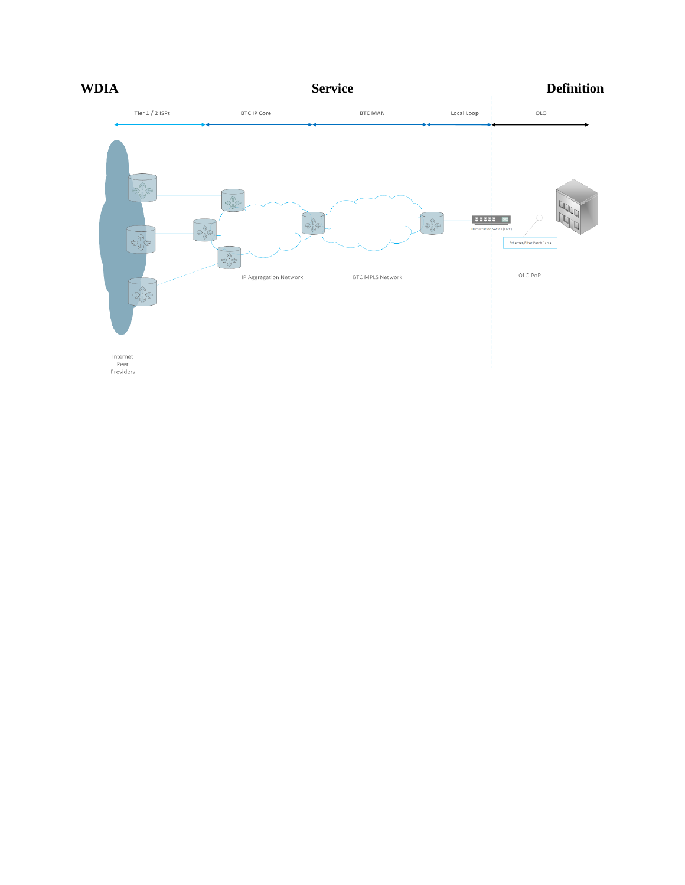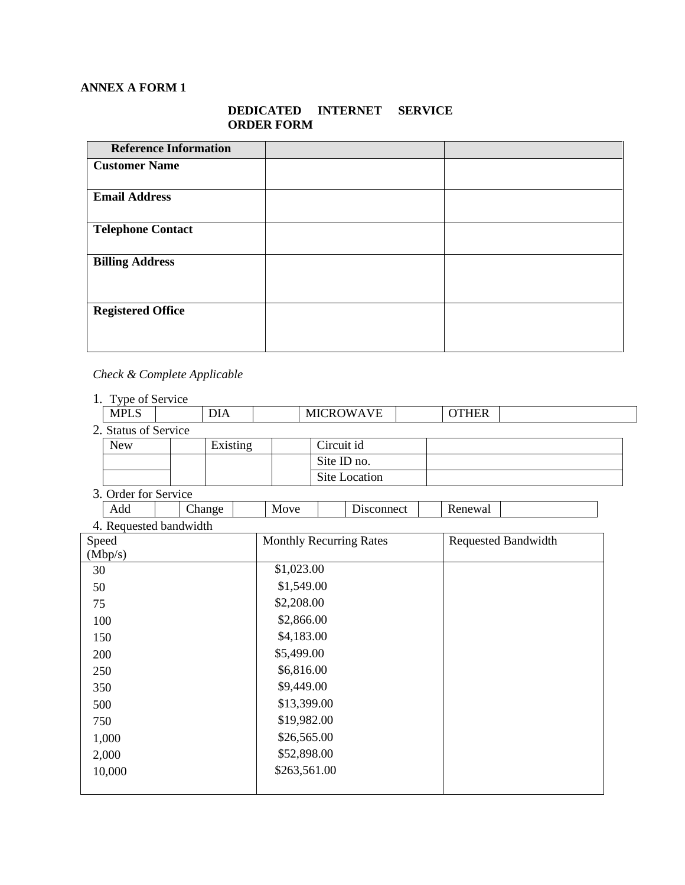## **ANNEX A FORM 1**

## **DEDICATED INTERNET SERVICE ORDER FORM**

| <b>Reference Information</b> |  |
|------------------------------|--|
| <b>Customer Name</b>         |  |
|                              |  |
| <b>Email Address</b>         |  |
| <b>Telephone Contact</b>     |  |
| <b>Billing Address</b>       |  |
| <b>Registered Office</b>     |  |

## *Check & Complete Applicable*

| Type of Service      |  |          |  |                  |  |              |  |
|----------------------|--|----------|--|------------------|--|--------------|--|
| <b>MPLS</b>          |  | DIA      |  | <b>MICROWAVE</b> |  | <b>OTHER</b> |  |
| 2. Status of Service |  |          |  |                  |  |              |  |
| <b>New</b>           |  | Existing |  | Circuit id       |  |              |  |
|                      |  |          |  | Site ID no.      |  |              |  |
|                      |  |          |  | Site Location    |  |              |  |

3. Order for Service

|          | Add                 | $\mathsf{Change}$ | Move<br><b>IVIO</b> | $\overline{\phantom{a}}$<br>onnect | Renewal |  |
|----------|---------------------|-------------------|---------------------|------------------------------------|---------|--|
| $\Delta$ | Requested bandwidth |                   |                     |                                    |         |  |

| 4. Requested Danuwidul |                                |                            |
|------------------------|--------------------------------|----------------------------|
| Speed                  | <b>Monthly Recurring Rates</b> | <b>Requested Bandwidth</b> |
| (Mbp/s)                |                                |                            |
| 30                     | \$1,023.00                     |                            |
| 50                     | \$1,549.00                     |                            |
| 75                     | \$2,208.00                     |                            |
| 100                    | \$2,866.00                     |                            |
| 150                    | \$4,183.00                     |                            |
| 200                    | \$5,499.00                     |                            |
| 250                    | \$6,816.00                     |                            |
| 350                    | \$9,449.00                     |                            |
| 500                    | \$13,399.00                    |                            |
| 750                    | \$19,982.00                    |                            |
| 1,000                  | \$26,565.00                    |                            |
| 2,000                  | \$52,898.00                    |                            |
| 10,000                 | \$263,561.00                   |                            |
|                        |                                |                            |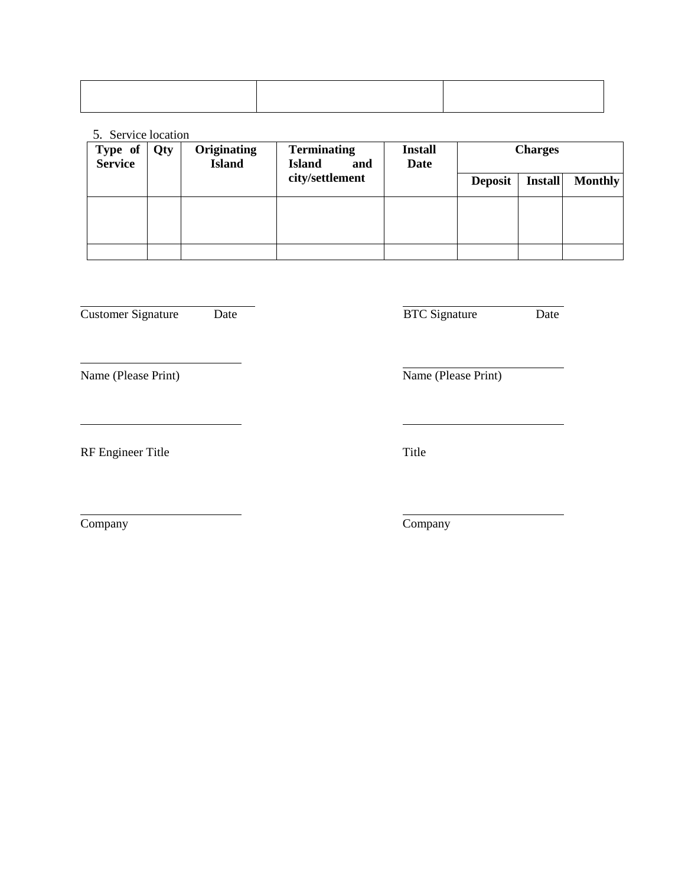## 5. Service location

| Type of<br>Service | Qty | Originating<br><b>Island</b> | <b>Terminating</b><br><b>Island</b><br>and | <b>Install</b><br>Date | <b>Charges</b> |                |                |
|--------------------|-----|------------------------------|--------------------------------------------|------------------------|----------------|----------------|----------------|
|                    |     |                              | city/settlement                            |                        | <b>Deposit</b> | <b>Install</b> | <b>Monthly</b> |
|                    |     |                              |                                            |                        |                |                |                |
|                    |     |                              |                                            |                        |                |                |                |
|                    |     |                              |                                            |                        |                |                |                |

Customer Signature Date Date BTC Signature Date

Name (Please Print) Name (Please Print)

RF Engineer Title Title

Company Company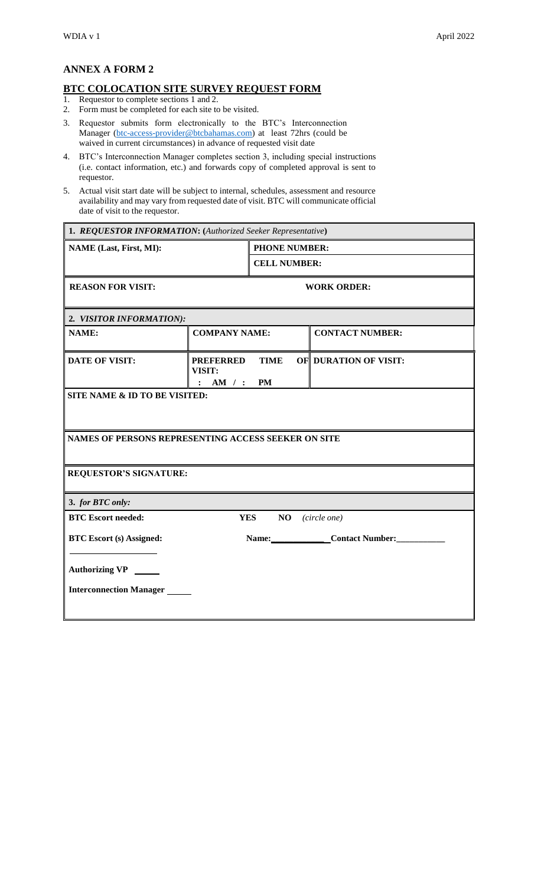## **ANNEX A FORM 2**

## **BTC COLOCATION SITE SURVEY REQUEST FORM**

- 1. Requestor to complete sections 1 and 2.
- 2. Form must be completed for each site to be visited.
- 3. Requestor submits form electronically to the BTC's Interconnection Manager [\(btc-access-provider@btcbahamas.com\)](mailto:btc-access-provider@btcbahamas.com) at least 72hrs (could be waived in current circumstances) in advance of requested visit date
- 4. BTC's Interconnection Manager completes section 3, including special instructions (i.e. contact information, etc.) and forwards copy of completed approval is sent to requestor.
- 5. Actual visit start date will be subject to internal, schedules, assessment and resource availability and may vary from requested date of visit. BTC will communicate official date of visit to the requestor.

| 1. REQUESTOR INFORMATION: (Authorized Seeker Representative) |                                                         |                      |  |                              |  |  |
|--------------------------------------------------------------|---------------------------------------------------------|----------------------|--|------------------------------|--|--|
| <b>NAME</b> (Last, First, MI):                               |                                                         | <b>PHONE NUMBER:</b> |  |                              |  |  |
|                                                              | <b>CELL NUMBER:</b>                                     |                      |  |                              |  |  |
| <b>REASON FOR VISIT:</b>                                     | <b>WORK ORDER:</b>                                      |                      |  |                              |  |  |
| 2. VISITOR INFORMATION):                                     |                                                         |                      |  |                              |  |  |
| <b>COMPANY NAME:</b><br><b>NAME:</b>                         |                                                         |                      |  | <b>CONTACT NUMBER:</b>       |  |  |
| <b>DATE OF VISIT:</b>                                        | <b>PREFERRED</b><br>VISIT:<br>AM / : PM<br>$\mathbf{L}$ | <b>TIME</b>          |  | <b>OF DURATION OF VISIT:</b> |  |  |
| <b>SITE NAME &amp; ID TO BE VISITED:</b>                     |                                                         |                      |  |                              |  |  |
| NAMES OF PERSONS REPRESENTING ACCESS SEEKER ON SITE          |                                                         |                      |  |                              |  |  |
| <b>REQUESTOR'S SIGNATURE:</b>                                |                                                         |                      |  |                              |  |  |
| 3. for BTC only:                                             |                                                         |                      |  |                              |  |  |
| <b>BTC Escort needed:</b>                                    | <b>YES</b>                                              | NO                   |  | (circle one)                 |  |  |
| <b>BTC Escort (s) Assigned:</b>                              |                                                         |                      |  | Name: Contact Number:        |  |  |
| Authorizing VP                                               |                                                         |                      |  |                              |  |  |
| <b>Interconnection Manager</b>                               |                                                         |                      |  |                              |  |  |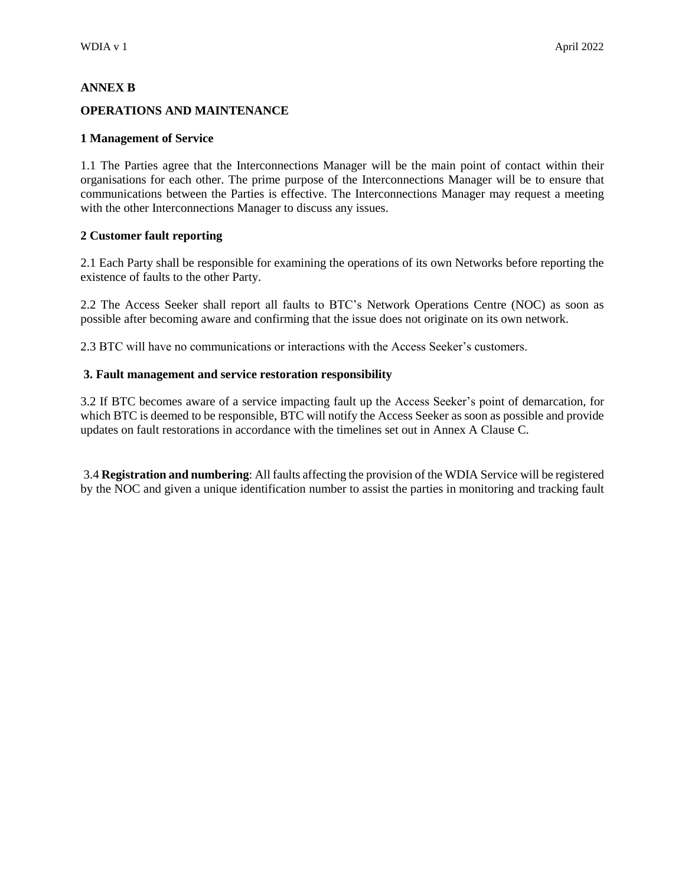#### **ANNEX B**

#### **OPERATIONS AND MAINTENANCE**

#### **1 Management of Service**

1.1 The Parties agree that the Interconnections Manager will be the main point of contact within their organisations for each other. The prime purpose of the Interconnections Manager will be to ensure that communications between the Parties is effective. The Interconnections Manager may request a meeting with the other Interconnections Manager to discuss any issues.

#### **2 Customer fault reporting**

2.1 Each Party shall be responsible for examining the operations of its own Networks before reporting the existence of faults to the other Party.

2.2 The Access Seeker shall report all faults to BTC's Network Operations Centre (NOC) as soon as possible after becoming aware and confirming that the issue does not originate on its own network.

2.3 BTC will have no communications or interactions with the Access Seeker's customers.

#### **3. Fault management and service restoration responsibility**

3.2 If BTC becomes aware of a service impacting fault up the Access Seeker's point of demarcation, for which BTC is deemed to be responsible, BTC will notify the Access Seeker as soon as possible and provide updates on fault restorations in accordance with the timelines set out in Annex A Clause C.

3.4 **Registration and numbering**: All faults affecting the provision of the WDIA Service will be registered by the NOC and given a unique identification number to assist the parties in monitoring and tracking fault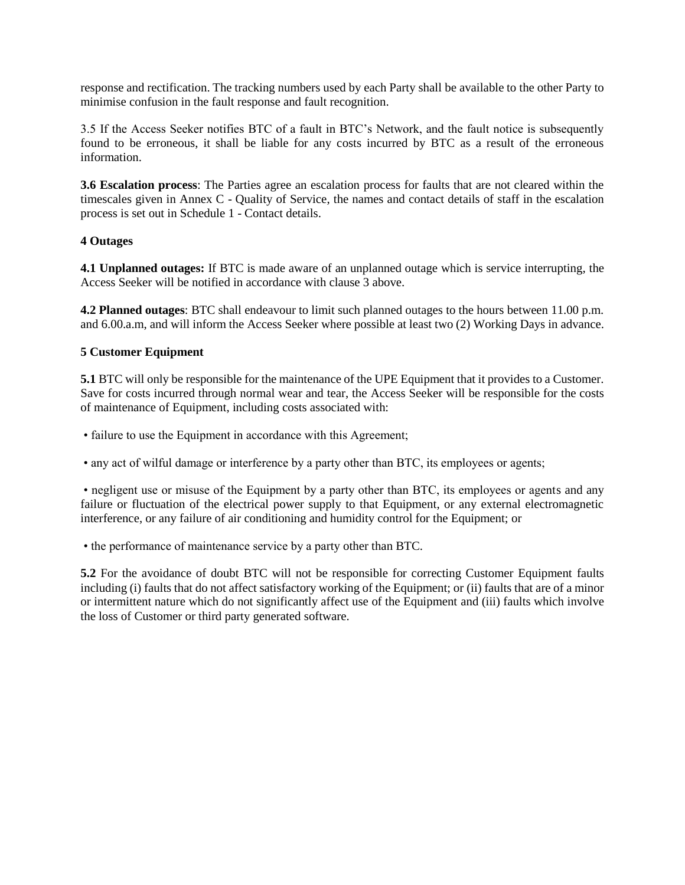response and rectification. The tracking numbers used by each Party shall be available to the other Party to minimise confusion in the fault response and fault recognition.

3.5 If the Access Seeker notifies BTC of a fault in BTC's Network, and the fault notice is subsequently found to be erroneous, it shall be liable for any costs incurred by BTC as a result of the erroneous information.

**3.6 Escalation process**: The Parties agree an escalation process for faults that are not cleared within the timescales given in Annex C - Quality of Service, the names and contact details of staff in the escalation process is set out in Schedule 1 - Contact details.

## **4 Outages**

**4.1 Unplanned outages:** If BTC is made aware of an unplanned outage which is service interrupting, the Access Seeker will be notified in accordance with clause 3 above.

**4.2 Planned outages**: BTC shall endeavour to limit such planned outages to the hours between 11.00 p.m. and 6.00.a.m, and will inform the Access Seeker where possible at least two (2) Working Days in advance.

## **5 Customer Equipment**

**5.1** BTC will only be responsible for the maintenance of the UPE Equipment that it provides to a Customer. Save for costs incurred through normal wear and tear, the Access Seeker will be responsible for the costs of maintenance of Equipment, including costs associated with:

• failure to use the Equipment in accordance with this Agreement;

• any act of wilful damage or interference by a party other than BTC, its employees or agents;

• negligent use or misuse of the Equipment by a party other than BTC, its employees or agents and any failure or fluctuation of the electrical power supply to that Equipment, or any external electromagnetic interference, or any failure of air conditioning and humidity control for the Equipment; or

• the performance of maintenance service by a party other than BTC.

**5.2** For the avoidance of doubt BTC will not be responsible for correcting Customer Equipment faults including (i) faults that do not affect satisfactory working of the Equipment; or (ii) faults that are of a minor or intermittent nature which do not significantly affect use of the Equipment and (iii) faults which involve the loss of Customer or third party generated software.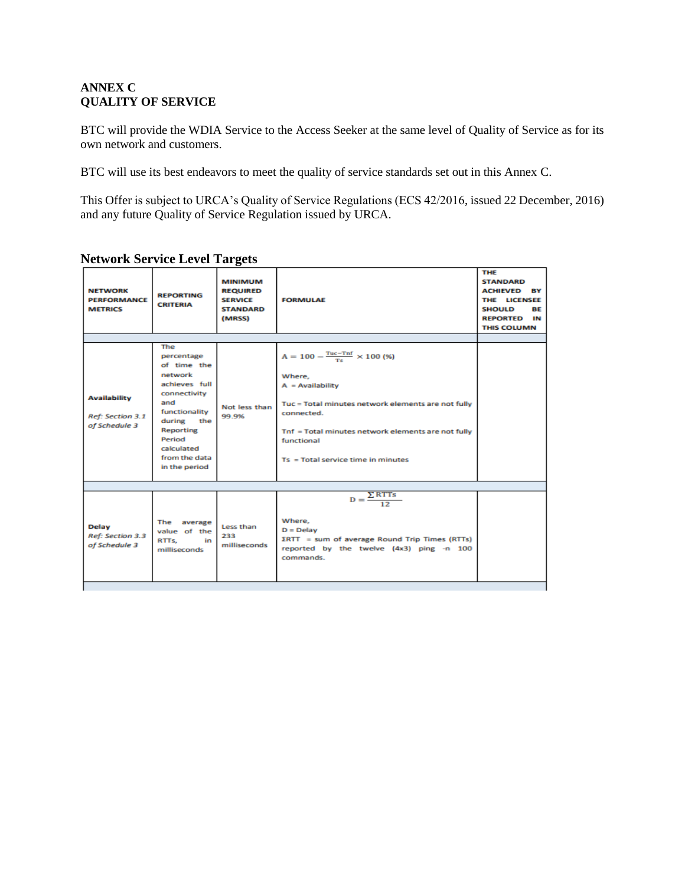## **ANNEX C QUALITY OF SERVICE**

BTC will provide the WDIA Service to the Access Seeker at the same level of Quality of Service as for its own network and customers.

BTC will use its best endeavors to meet the quality of service standards set out in this Annex C.

This Offer is subject to URCA's Quality of Service Regulations (ECS 42/2016, issued 22 December, 2016) and any future Quality of Service Regulation issued by URCA.

| <b>NFTWORK</b><br><b>PERFORMANCE</b><br><b>METRICS</b>   | <b>REPORTING</b><br><b>CRITERIA</b>                                                                                                                                                          | MINIMUM<br><b>REQUIRED</b><br><b>SERVICE</b><br><b>STANDARD</b><br>(MRSS) | <b>FORMULAF</b>                                                                                                                                                                                                                                               | <b>THE</b><br><b>STANDARD</b><br><b>ACHIEVED BY</b><br>THE LICENSEE<br><b>SHOULD</b><br><b>BF</b><br><b>REPORTED IN</b><br><b>THIS COLUMN</b> |
|----------------------------------------------------------|----------------------------------------------------------------------------------------------------------------------------------------------------------------------------------------------|---------------------------------------------------------------------------|---------------------------------------------------------------------------------------------------------------------------------------------------------------------------------------------------------------------------------------------------------------|-----------------------------------------------------------------------------------------------------------------------------------------------|
|                                                          |                                                                                                                                                                                              |                                                                           |                                                                                                                                                                                                                                                               |                                                                                                                                               |
| <b>Availability</b><br>Ref: Section 3.1<br>of Schedule 3 | The<br>percentage<br>of time the<br>network<br>achieves full<br>connectivity<br>and<br>functionality<br>during<br>the<br>Reporting<br>Period<br>calculated<br>from the data<br>in the period | Not less than<br>99.9%                                                    | $A = 100 - \frac{Tuc - Tnf}{Ts} \times 100$ (%)<br>Where,<br>$A =$ Availability<br>Tuc = Total minutes network elements are not fully<br>connected.<br>Tnf = Total minutes network elements are not fully<br>functional<br>Ts = Total service time in minutes |                                                                                                                                               |
|                                                          |                                                                                                                                                                                              |                                                                           |                                                                                                                                                                                                                                                               |                                                                                                                                               |
| Delay<br>Ref: Section 3.3<br>of Schedule 3               | The average<br>value of the<br>RTTs.<br><b>in</b><br>milliseconds                                                                                                                            | Less than<br>233<br>milliseconds                                          | $D = \frac{\sum RTTs}{12}$<br>Where,<br>$D = Delay$<br>$\Sigma$ RTT = sum of average Round Trip Times (RTTs)<br>reported by the twelve (4x3) ping -n 100<br>commands.                                                                                         |                                                                                                                                               |

## **Network Service Level Targets**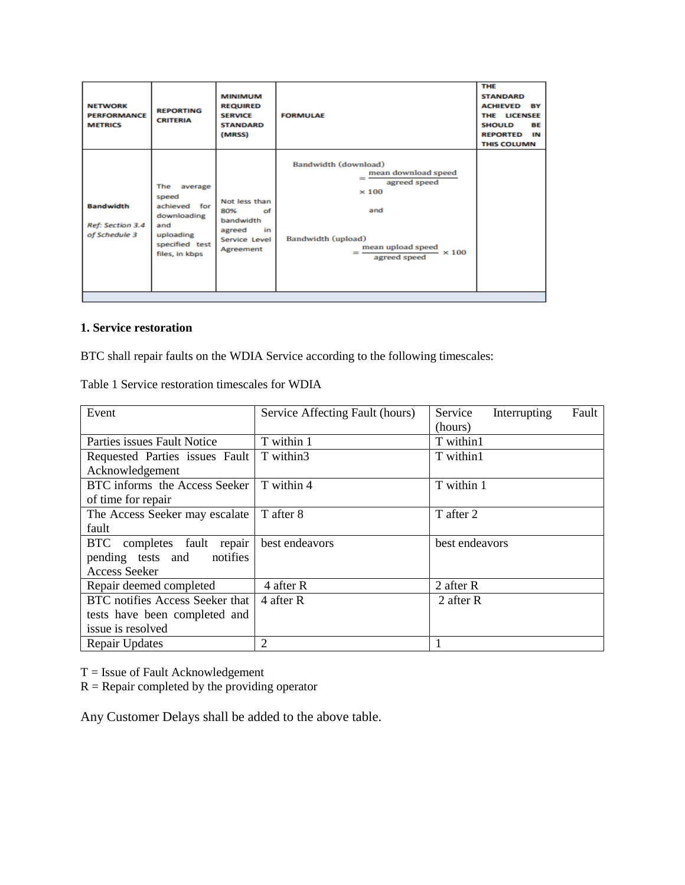| <b>NFTWORK</b><br><b>PERFORMANCE</b><br><b>METRICS</b> | <b>REPORTING</b><br><b>CRITERIA</b>                                                                                   | <b>MINIMUM</b><br><b>REQUIRED</b><br><b>SERVICE</b><br><b>STANDARD</b><br>(MRSS)       | <b>FORMULAE</b>                                                                                                                                                           | <b>THE</b><br><b>STANDARD</b><br><b>ACHIEVED BY</b><br>THE LICENSEE<br><b>BE</b><br><b>SHOULD</b><br><b>REPORTED</b><br>IΝ<br><b>THIS COLUMN</b> |
|--------------------------------------------------------|-----------------------------------------------------------------------------------------------------------------------|----------------------------------------------------------------------------------------|---------------------------------------------------------------------------------------------------------------------------------------------------------------------------|--------------------------------------------------------------------------------------------------------------------------------------------------|
| <b>Bandwidth</b><br>Ref: Section 3.4<br>of Schedule 3  | <b>The</b><br>average<br>speed<br>achieved for<br>downloading<br>and<br>uploading<br>specified test<br>files, in kbps | Not less than<br>80%<br>οf<br>bandwidth<br>agreed<br>in.<br>Service Level<br>Agreement | Bandwidth (download)<br>mean download speed<br><u>.</u><br>agreed speed<br>$\times 100$<br>and<br>Bandwidth (upload)<br>mean upload speed<br>$\times 100$<br>agreed speed |                                                                                                                                                  |

#### **1. Service restoration**

BTC shall repair faults on the WDIA Service according to the following timescales:

| Event                                | Service Affecting Fault (hours) | Service<br>Fault<br>Interrupting |
|--------------------------------------|---------------------------------|----------------------------------|
|                                      |                                 | (hours)                          |
| Parties issues Fault Notice          | T within 1                      | T within1                        |
| Requested Parties issues Fault       | T within3                       | T within1                        |
| Acknowledgement                      |                                 |                                  |
| BTC informs the Access Seeker        | T within 4                      | T within 1                       |
| of time for repair                   |                                 |                                  |
| The Access Seeker may escalate       | T after 8                       | T after 2                        |
| fault                                |                                 |                                  |
| completes fault repair<br><b>BTC</b> | best endeavors                  | best endeavors                   |
| pending tests and<br>notifies        |                                 |                                  |
| <b>Access Seeker</b>                 |                                 |                                  |
| Repair deemed completed              | 4 after R                       | 2 after R                        |
| BTC notifies Access Seeker that      | 4 after R                       | 2 after R                        |
| tests have been completed and        |                                 |                                  |
| issue is resolved                    |                                 |                                  |
| <b>Repair Updates</b>                | 2                               |                                  |

Table 1 Service restoration timescales for WDIA

 $T =$  Issue of Fault Acknowledgement

 $R =$  Repair completed by the providing operator

Any Customer Delays shall be added to the above table.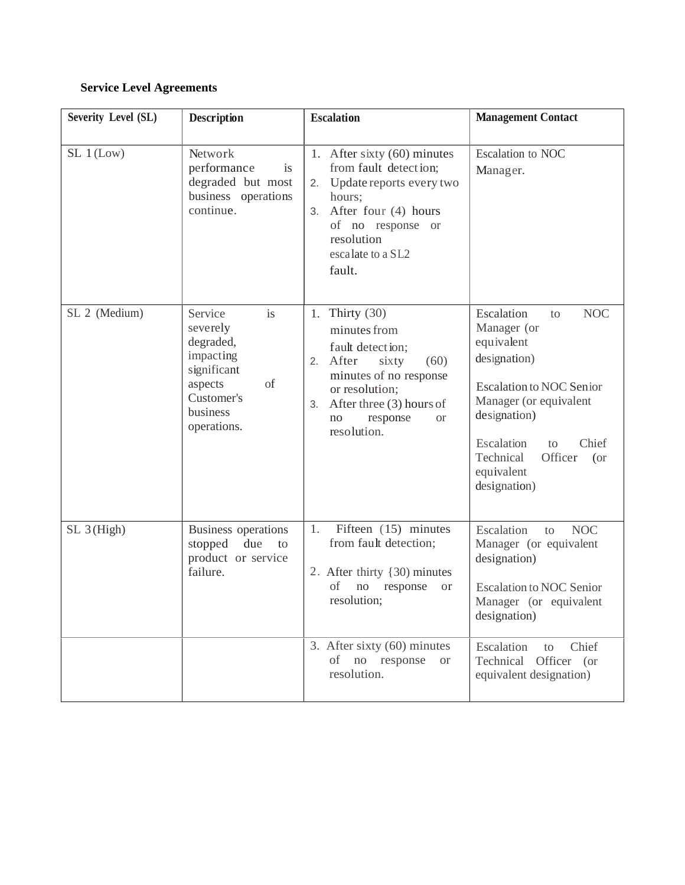## **Service Level Agreements**

| Severity Level (SL) | <b>Description</b>                                                                                                           | <b>Escalation</b>                                                                                                                                                                                                   | <b>Management Contact</b>                                                                                                                                                                                                                          |
|---------------------|------------------------------------------------------------------------------------------------------------------------------|---------------------------------------------------------------------------------------------------------------------------------------------------------------------------------------------------------------------|----------------------------------------------------------------------------------------------------------------------------------------------------------------------------------------------------------------------------------------------------|
| SL 1 (Low)          | Network<br>performance<br>is<br>degraded but most<br>business operations<br>continue.                                        | 1. After sixty $(60)$ minutes<br>from fault detection;<br>Update reports every two<br>2.<br>hours;<br>After four (4) hours<br>3.<br>of no response or<br>resolution<br>escalate to a SL2<br>fault.                  | Escalation to NOC<br>Manager.                                                                                                                                                                                                                      |
| SL 2 (Medium)       | Service<br>is<br>severely<br>degraded,<br>impacting<br>significant<br>of<br>aspects<br>Customer's<br>business<br>operations. | Thirty $(30)$<br>1.<br>minutes from<br>fault detection;<br>After<br>(60)<br>sixty<br>2.<br>minutes of no response<br>or resolution;<br>After three (3) hours of<br>3.<br>no<br>response<br><b>or</b><br>resolution. | Escalation<br><b>NOC</b><br>to<br>Manager (or<br>equivalent<br>designation)<br><b>Escalation to NOC Senior</b><br>Manager (or equivalent<br>designation)<br>Chief<br>Escalation<br>to<br>Officer<br>Technical<br>(or<br>equivalent<br>designation) |
| $SL_3(High)$        | Business operations<br>stopped<br>due<br>to<br>product or service<br>failure.                                                | Fifteen (15) minutes<br>1.<br>from fault detection;<br>2. After thirty {30) minutes<br>of<br>no<br>response<br><sub>or</sub><br>resolution;                                                                         | Escalation<br><b>NOC</b><br>to<br>Manager (or equivalent<br>designation)<br><b>Escalation to NOC Senior</b><br>Manager (or equivalent<br>designation)                                                                                              |
|                     |                                                                                                                              | 3. After sixty (60) minutes<br>no response<br>of<br><b>or</b><br>resolution.                                                                                                                                        | Chief<br>Escalation<br>to<br>Officer (or<br>Technical<br>equivalent designation)                                                                                                                                                                   |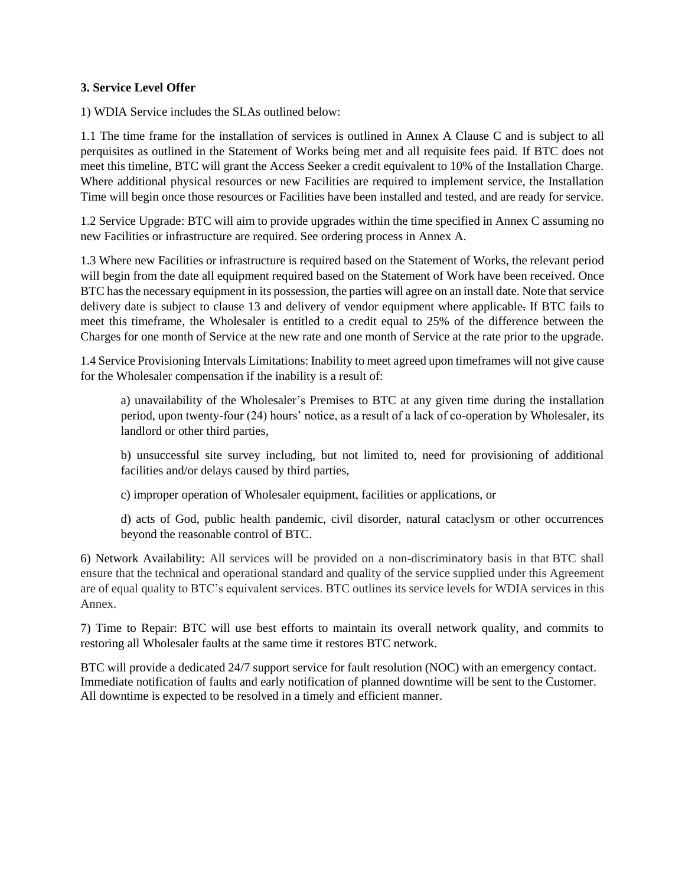## **3. Service Level Offer**

1) WDIA Service includes the SLAs outlined below:

1.1 The time frame for the installation of services is outlined in Annex A Clause C and is subject to all perquisites as outlined in the Statement of Works being met and all requisite fees paid. If BTC does not meet this timeline, BTC will grant the Access Seeker a credit equivalent to 10% of the Installation Charge. Where additional physical resources or new Facilities are required to implement service, the Installation Time will begin once those resources or Facilities have been installed and tested, and are ready for service.

1.2 Service Upgrade: BTC will aim to provide upgrades within the time specified in Annex C assuming no new Facilities or infrastructure are required. See ordering process in Annex A.

1.3 Where new Facilities or infrastructure is required based on the Statement of Works, the relevant period will begin from the date all equipment required based on the Statement of Work have been received. Once BTC has the necessary equipment in its possession, the parties will agree on an install date. Note that service delivery date is subject to clause 13 and delivery of vendor equipment where applicable. If BTC fails to meet this timeframe, the Wholesaler is entitled to a credit equal to 25% of the difference between the Charges for one month of Service at the new rate and one month of Service at the rate prior to the upgrade.

1.4 Service Provisioning Intervals Limitations: Inability to meet agreed upon timeframes will not give cause for the Wholesaler compensation if the inability is a result of:

a) unavailability of the Wholesaler's Premises to BTC at any given time during the installation period, upon twenty-four (24) hours' notice, as a result of a lack of co-operation by Wholesaler, its landlord or other third parties,

b) unsuccessful site survey including, but not limited to, need for provisioning of additional facilities and/or delays caused by third parties,

c) improper operation of Wholesaler equipment, facilities or applications, or

d) acts of God, public health pandemic, civil disorder, natural cataclysm or other occurrences beyond the reasonable control of BTC.

6) Network Availability: All services will be provided on a non-discriminatory basis in that BTC shall ensure that the technical and operational standard and quality of the service supplied under this Agreement are of equal quality to BTC's equivalent services. BTC outlines its service levels for WDIA services in this Annex.

7) Time to Repair: BTC will use best efforts to maintain its overall network quality, and commits to restoring all Wholesaler faults at the same time it restores BTC network.

BTC will provide a dedicated 24/7 support service for fault resolution (NOC) with an emergency contact. Immediate notification of faults and early notification of planned downtime will be sent to the Customer. All downtime is expected to be resolved in a timely and efficient manner.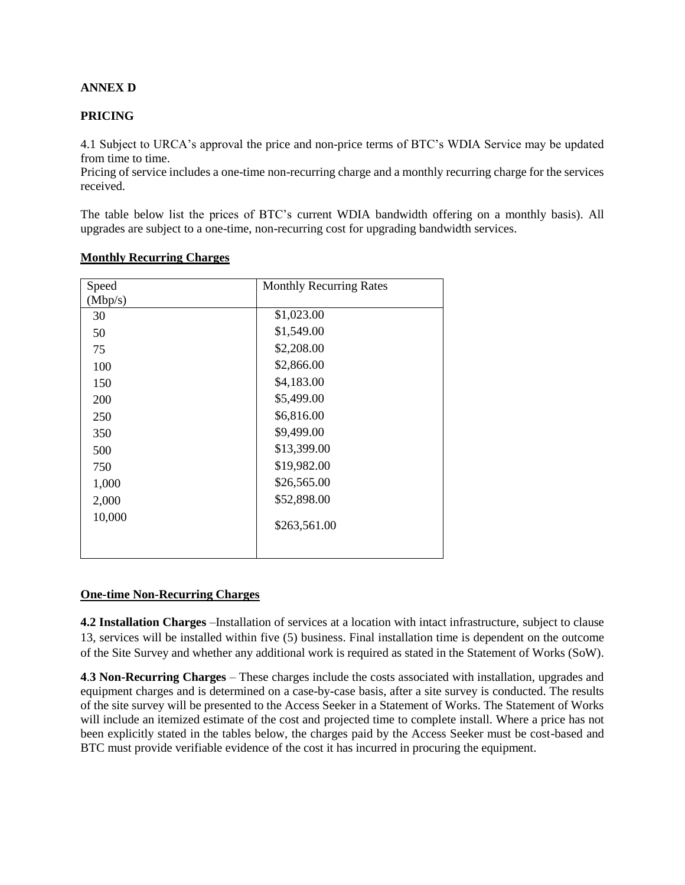## **ANNEX D**

#### **PRICING**

4.1 Subject to URCA's approval the price and non-price terms of BTC's WDIA Service may be updated from time to time.

Pricing of service includes a one-time non-recurring charge and a monthly recurring charge for the services received.

The table below list the prices of BTC's current WDIA bandwidth offering on a monthly basis). All upgrades are subject to a one-time, non-recurring cost for upgrading bandwidth services.

| Speed   | <b>Monthly Recurring Rates</b> |
|---------|--------------------------------|
| (Mbp/s) |                                |
| 30      | \$1,023.00                     |
| 50      | \$1,549.00                     |
| 75      | \$2,208.00                     |
| 100     | \$2,866.00                     |
| 150     | \$4,183.00                     |
| 200     | \$5,499.00                     |
| 250     | \$6,816.00                     |
| 350     | \$9,499.00                     |
| 500     | \$13,399.00                    |
| 750     | \$19,982.00                    |
| 1,000   | \$26,565.00                    |
| 2,000   | \$52,898.00                    |
| 10,000  | \$263,561.00                   |
|         |                                |

#### **Monthly Recurring Charges**

#### **One-time Non-Recurring Charges**

**4.2 Installation Charges** –Installation of services at a location with intact infrastructure, subject to clause 13, services will be installed within five (5) business. Final installation time is dependent on the outcome of the Site Survey and whether any additional work is required as stated in the Statement of Works (SoW).

**4**.**3 Non-Recurring Charges** – These charges include the costs associated with installation, upgrades and equipment charges and is determined on a case-by-case basis, after a site survey is conducted. The results of the site survey will be presented to the Access Seeker in a Statement of Works. The Statement of Works will include an itemized estimate of the cost and projected time to complete install. Where a price has not been explicitly stated in the tables below, the charges paid by the Access Seeker must be cost-based and BTC must provide verifiable evidence of the cost it has incurred in procuring the equipment.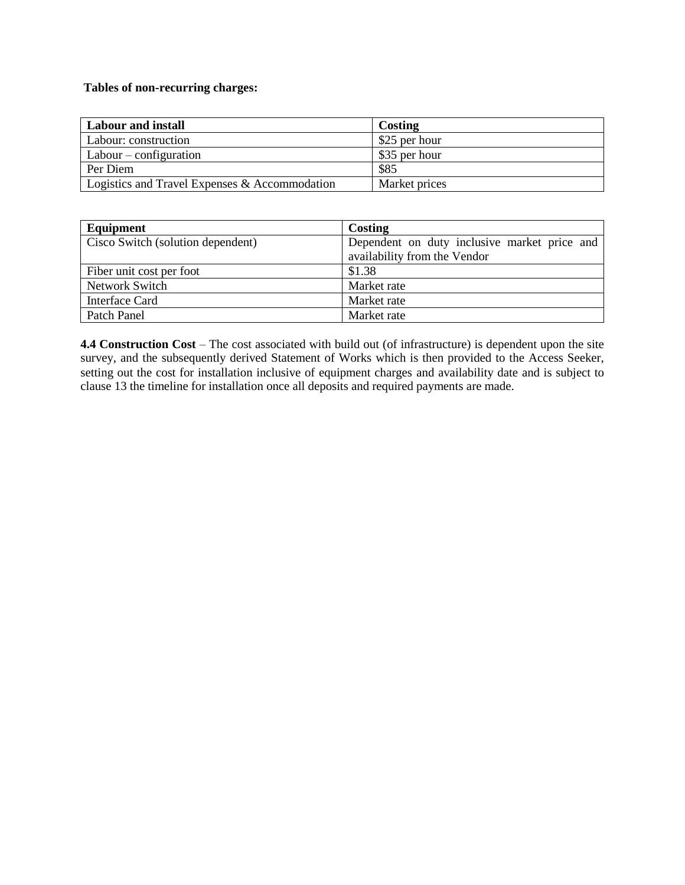## **Tables of non-recurring charges:**

| Labour and install                            | Costing       |
|-----------------------------------------------|---------------|
| Labour: construction                          | \$25 per hour |
| $\vert$ Labour – configuration                | \$35 per hour |
| Per Diem                                      | \$85          |
| Logistics and Travel Expenses & Accommodation | Market prices |

| Equipment                         | Costing                                                                      |  |  |
|-----------------------------------|------------------------------------------------------------------------------|--|--|
| Cisco Switch (solution dependent) | Dependent on duty inclusive market price and<br>availability from the Vendor |  |  |
| Fiber unit cost per foot          | \$1.38                                                                       |  |  |
| Network Switch                    | Market rate                                                                  |  |  |
| Interface Card                    | Market rate                                                                  |  |  |
| Patch Panel                       | Market rate                                                                  |  |  |

**4.4 Construction Cost** – The cost associated with build out (of infrastructure) is dependent upon the site survey, and the subsequently derived Statement of Works which is then provided to the Access Seeker, setting out the cost for installation inclusive of equipment charges and availability date and is subject to clause 13 the timeline for installation once all deposits and required payments are made.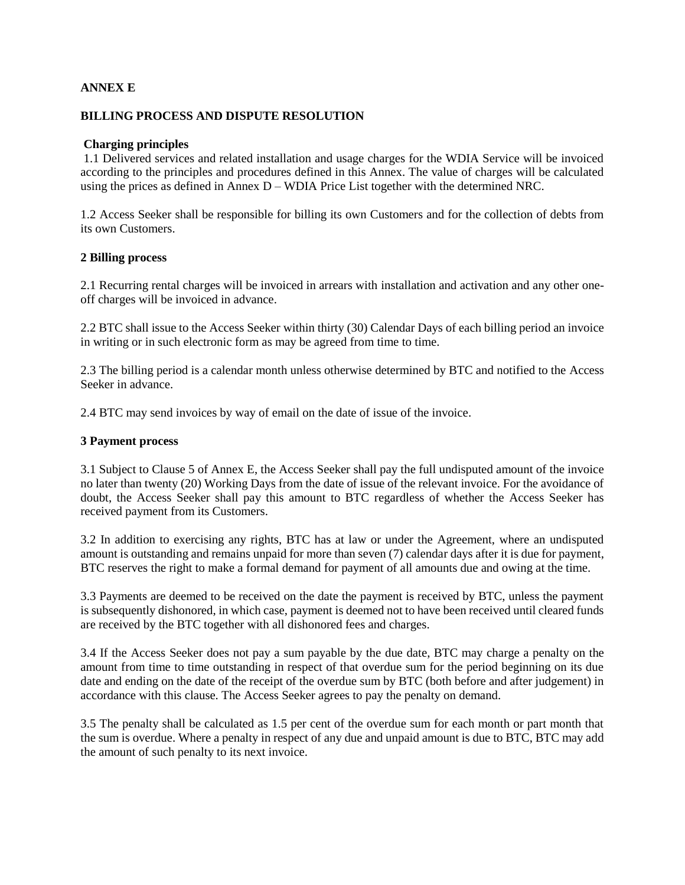## **ANNEX E**

#### **BILLING PROCESS AND DISPUTE RESOLUTION**

#### **Charging principles**

1.1 Delivered services and related installation and usage charges for the WDIA Service will be invoiced according to the principles and procedures defined in this Annex. The value of charges will be calculated using the prices as defined in Annex D – WDIA Price List together with the determined NRC.

1.2 Access Seeker shall be responsible for billing its own Customers and for the collection of debts from its own Customers.

#### **2 Billing process**

2.1 Recurring rental charges will be invoiced in arrears with installation and activation and any other oneoff charges will be invoiced in advance.

2.2 BTC shall issue to the Access Seeker within thirty (30) Calendar Days of each billing period an invoice in writing or in such electronic form as may be agreed from time to time.

2.3 The billing period is a calendar month unless otherwise determined by BTC and notified to the Access Seeker in advance.

2.4 BTC may send invoices by way of email on the date of issue of the invoice.

#### **3 Payment process**

3.1 Subject to Clause 5 of Annex E, the Access Seeker shall pay the full undisputed amount of the invoice no later than twenty (20) Working Days from the date of issue of the relevant invoice. For the avoidance of doubt, the Access Seeker shall pay this amount to BTC regardless of whether the Access Seeker has received payment from its Customers.

3.2 In addition to exercising any rights, BTC has at law or under the Agreement, where an undisputed amount is outstanding and remains unpaid for more than seven (7) calendar days after it is due for payment, BTC reserves the right to make a formal demand for payment of all amounts due and owing at the time.

3.3 Payments are deemed to be received on the date the payment is received by BTC, unless the payment is subsequently dishonored, in which case, payment is deemed not to have been received until cleared funds are received by the BTC together with all dishonored fees and charges.

3.4 If the Access Seeker does not pay a sum payable by the due date, BTC may charge a penalty on the amount from time to time outstanding in respect of that overdue sum for the period beginning on its due date and ending on the date of the receipt of the overdue sum by BTC (both before and after judgement) in accordance with this clause. The Access Seeker agrees to pay the penalty on demand.

3.5 The penalty shall be calculated as 1.5 per cent of the overdue sum for each month or part month that the sum is overdue. Where a penalty in respect of any due and unpaid amount is due to BTC, BTC may add the amount of such penalty to its next invoice.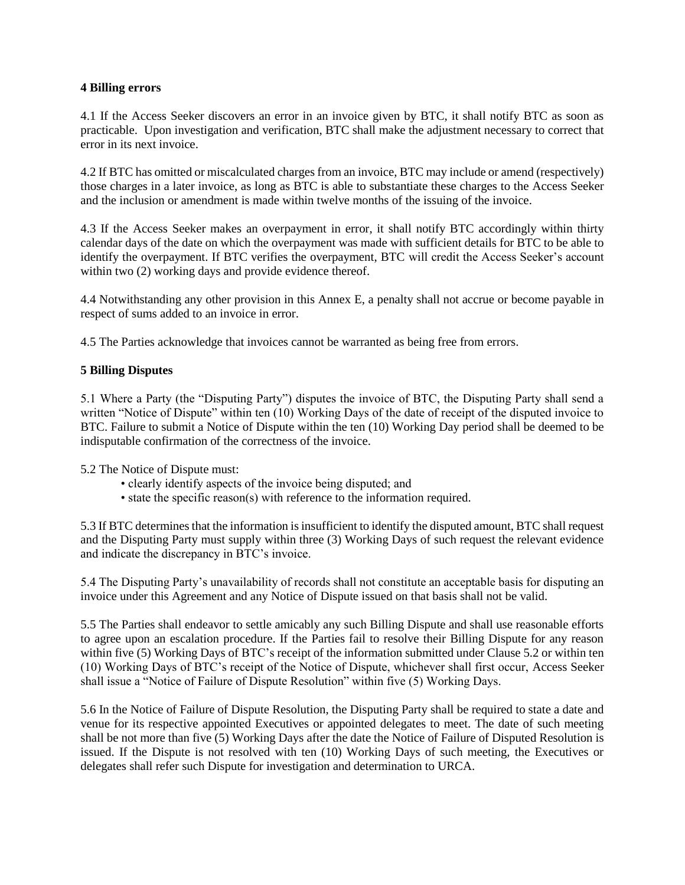#### **4 Billing errors**

4.1 If the Access Seeker discovers an error in an invoice given by BTC, it shall notify BTC as soon as practicable. Upon investigation and verification, BTC shall make the adjustment necessary to correct that error in its next invoice.

4.2 If BTC has omitted or miscalculated charges from an invoice, BTC may include or amend (respectively) those charges in a later invoice, as long as BTC is able to substantiate these charges to the Access Seeker and the inclusion or amendment is made within twelve months of the issuing of the invoice.

4.3 If the Access Seeker makes an overpayment in error, it shall notify BTC accordingly within thirty calendar days of the date on which the overpayment was made with sufficient details for BTC to be able to identify the overpayment. If BTC verifies the overpayment, BTC will credit the Access Seeker's account within two  $(2)$  working days and provide evidence thereof.

4.4 Notwithstanding any other provision in this Annex E, a penalty shall not accrue or become payable in respect of sums added to an invoice in error.

4.5 The Parties acknowledge that invoices cannot be warranted as being free from errors.

## **5 Billing Disputes**

5.1 Where a Party (the "Disputing Party") disputes the invoice of BTC, the Disputing Party shall send a written "Notice of Dispute" within ten (10) Working Days of the date of receipt of the disputed invoice to BTC. Failure to submit a Notice of Dispute within the ten (10) Working Day period shall be deemed to be indisputable confirmation of the correctness of the invoice.

5.2 The Notice of Dispute must:

- clearly identify aspects of the invoice being disputed; and
- state the specific reason(s) with reference to the information required.

5.3 If BTC determines that the information is insufficient to identify the disputed amount, BTC shall request and the Disputing Party must supply within three (3) Working Days of such request the relevant evidence and indicate the discrepancy in BTC's invoice.

5.4 The Disputing Party's unavailability of records shall not constitute an acceptable basis for disputing an invoice under this Agreement and any Notice of Dispute issued on that basis shall not be valid.

5.5 The Parties shall endeavor to settle amicably any such Billing Dispute and shall use reasonable efforts to agree upon an escalation procedure. If the Parties fail to resolve their Billing Dispute for any reason within five (5) Working Days of BTC's receipt of the information submitted under Clause 5.2 or within ten (10) Working Days of BTC's receipt of the Notice of Dispute, whichever shall first occur, Access Seeker shall issue a "Notice of Failure of Dispute Resolution" within five (5) Working Days.

5.6 In the Notice of Failure of Dispute Resolution, the Disputing Party shall be required to state a date and venue for its respective appointed Executives or appointed delegates to meet. The date of such meeting shall be not more than five (5) Working Days after the date the Notice of Failure of Disputed Resolution is issued. If the Dispute is not resolved with ten (10) Working Days of such meeting, the Executives or delegates shall refer such Dispute for investigation and determination to URCA.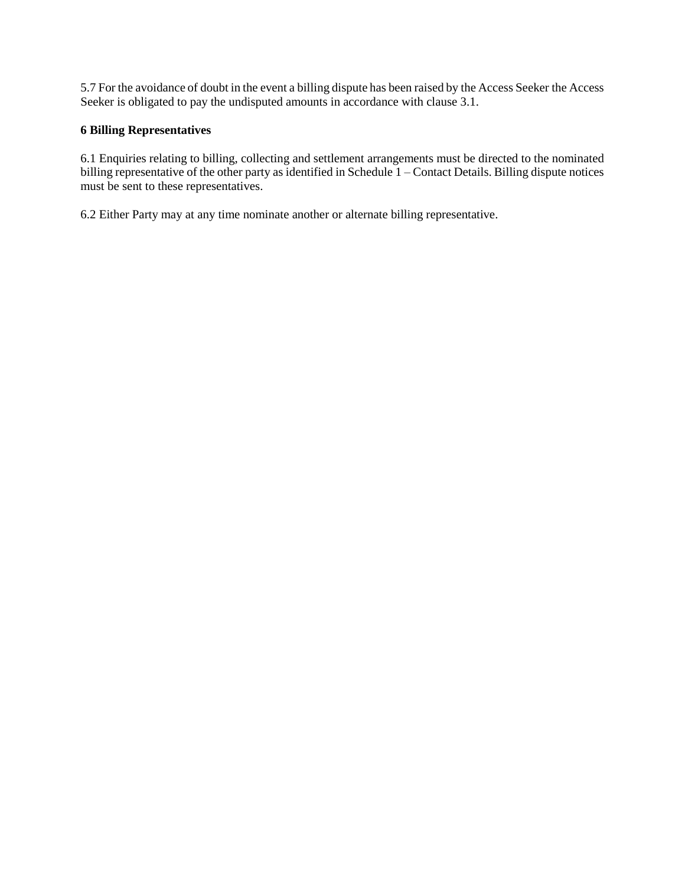5.7 For the avoidance of doubt in the event a billing dispute has been raised by the Access Seeker the Access Seeker is obligated to pay the undisputed amounts in accordance with clause 3.1.

## **6 Billing Representatives**

6.1 Enquiries relating to billing, collecting and settlement arrangements must be directed to the nominated billing representative of the other party as identified in Schedule 1 – Contact Details. Billing dispute notices must be sent to these representatives.

6.2 Either Party may at any time nominate another or alternate billing representative.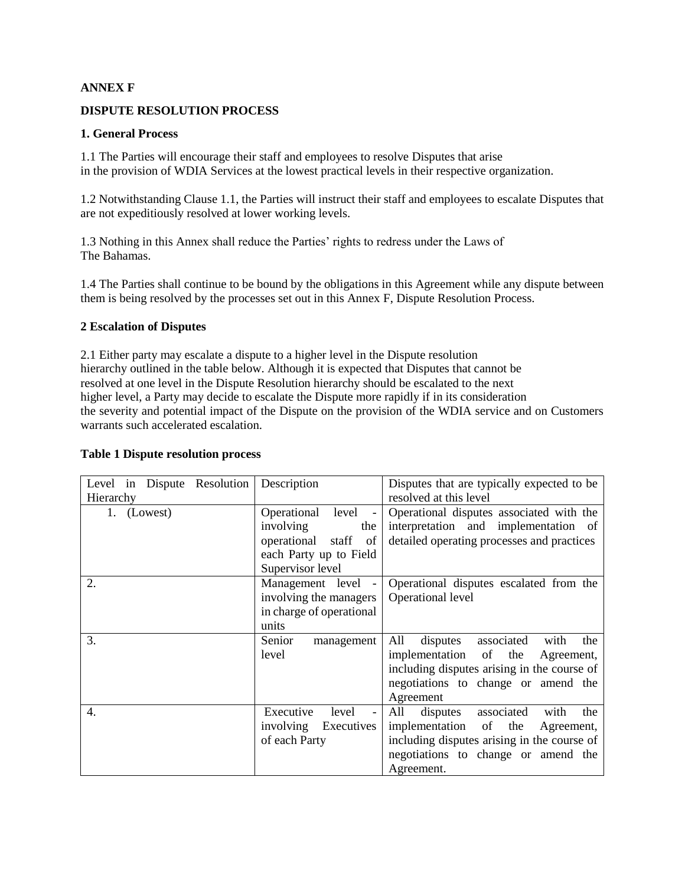## **ANNEX F**

## **DISPUTE RESOLUTION PROCESS**

#### **1. General Process**

1.1 The Parties will encourage their staff and employees to resolve Disputes that arise in the provision of WDIA Services at the lowest practical levels in their respective organization.

1.2 Notwithstanding Clause 1.1, the Parties will instruct their staff and employees to escalate Disputes that are not expeditiously resolved at lower working levels.

1.3 Nothing in this Annex shall reduce the Parties' rights to redress under the Laws of The Bahamas.

1.4 The Parties shall continue to be bound by the obligations in this Agreement while any dispute between them is being resolved by the processes set out in this Annex F, Dispute Resolution Process.

#### **2 Escalation of Disputes**

2.1 Either party may escalate a dispute to a higher level in the Dispute resolution hierarchy outlined in the table below. Although it is expected that Disputes that cannot be resolved at one level in the Dispute Resolution hierarchy should be escalated to the next higher level, a Party may decide to escalate the Dispute more rapidly if in its consideration the severity and potential impact of the Dispute on the provision of the WDIA service and on Customers warrants such accelerated escalation.

#### **Table 1 Dispute resolution process**

| Level in Dispute Resolution<br>Hierarchy | Description                                                                                  | Disputes that are typically expected to be<br>resolved at this level                                                                                                                    |
|------------------------------------------|----------------------------------------------------------------------------------------------|-----------------------------------------------------------------------------------------------------------------------------------------------------------------------------------------|
| 1. (Lowest)                              | Operational level -<br>involving<br>the<br>operational staff<br>of<br>each Party up to Field | Operational disputes associated with the<br>interpretation and implementation of<br>detailed operating processes and practices                                                          |
|                                          | Supervisor level                                                                             |                                                                                                                                                                                         |
| 2.                                       | Management level -<br>involving the managers<br>in charge of operational<br>units            | Operational disputes escalated from the<br>Operational level                                                                                                                            |
| 3.                                       | Senior<br>management<br>level                                                                | All<br>associated<br>the<br>disputes<br>with<br>implementation of the<br>Agreement,<br>including disputes arising in the course of<br>negotiations to change or amend the<br>Agreement  |
| 4.                                       | Executive<br>level<br>involving<br>Executives<br>of each Party                               | associated<br>All<br>disputes<br>with<br>the<br>implementation of the<br>Agreement,<br>including disputes arising in the course of<br>negotiations to change or amend the<br>Agreement. |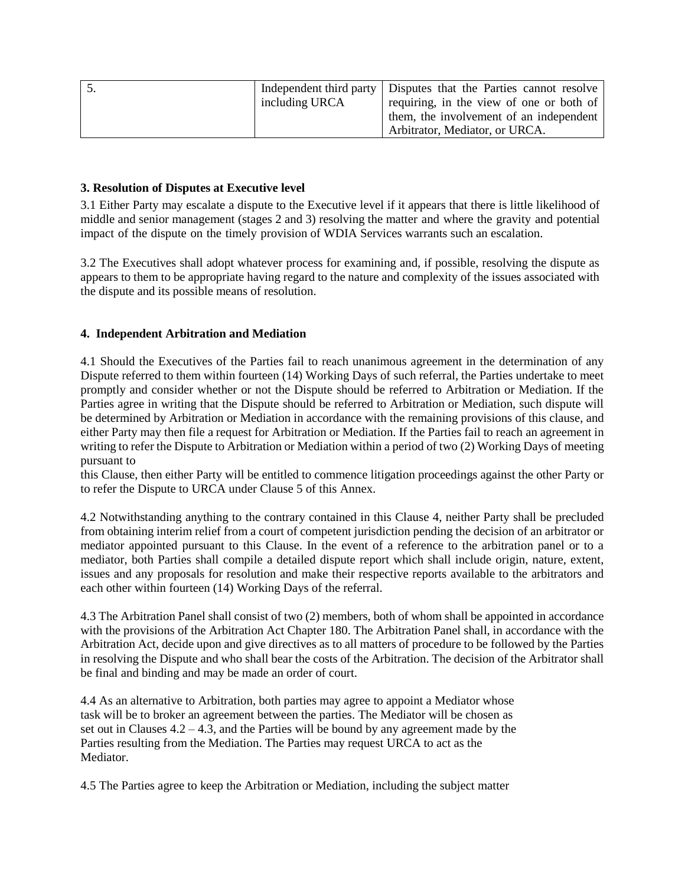|                | Independent third party   Disputes that the Parties cannot resolve |
|----------------|--------------------------------------------------------------------|
| including URCA | requiring, in the view of one or both of                           |
|                | them, the involvement of an independent                            |
|                | Arbitrator, Mediator, or URCA.                                     |

## **3. Resolution of Disputes at Executive level**

3.1 Either Party may escalate a dispute to the Executive level if it appears that there is little likelihood of middle and senior management (stages 2 and 3) resolving the matter and where the gravity and potential impact of the dispute on the timely provision of WDIA Services warrants such an escalation.

3.2 The Executives shall adopt whatever process for examining and, if possible, resolving the dispute as appears to them to be appropriate having regard to the nature and complexity of the issues associated with the dispute and its possible means of resolution.

#### **4. Independent Arbitration and Mediation**

4.1 Should the Executives of the Parties fail to reach unanimous agreement in the determination of any Dispute referred to them within fourteen (14) Working Days of such referral, the Parties undertake to meet promptly and consider whether or not the Dispute should be referred to Arbitration or Mediation. If the Parties agree in writing that the Dispute should be referred to Arbitration or Mediation, such dispute will be determined by Arbitration or Mediation in accordance with the remaining provisions of this clause, and either Party may then file a request for Arbitration or Mediation. If the Parties fail to reach an agreement in writing to refer the Dispute to Arbitration or Mediation within a period of two (2) Working Days of meeting pursuant to

this Clause, then either Party will be entitled to commence litigation proceedings against the other Party or to refer the Dispute to URCA under Clause 5 of this Annex.

4.2 Notwithstanding anything to the contrary contained in this Clause 4, neither Party shall be precluded from obtaining interim relief from a court of competent jurisdiction pending the decision of an arbitrator or mediator appointed pursuant to this Clause. In the event of a reference to the arbitration panel or to a mediator, both Parties shall compile a detailed dispute report which shall include origin, nature, extent, issues and any proposals for resolution and make their respective reports available to the arbitrators and each other within fourteen (14) Working Days of the referral.

4.3 The Arbitration Panel shall consist of two (2) members, both of whom shall be appointed in accordance with the provisions of the Arbitration Act Chapter 180. The Arbitration Panel shall, in accordance with the Arbitration Act, decide upon and give directives as to all matters of procedure to be followed by the Parties in resolving the Dispute and who shall bear the costs of the Arbitration. The decision of the Arbitrator shall be final and binding and may be made an order of court.

4.4 As an alternative to Arbitration, both parties may agree to appoint a Mediator whose task will be to broker an agreement between the parties. The Mediator will be chosen as set out in Clauses  $4.2 - 4.3$ , and the Parties will be bound by any agreement made by the Parties resulting from the Mediation. The Parties may request URCA to act as the Mediator.

4.5 The Parties agree to keep the Arbitration or Mediation, including the subject matter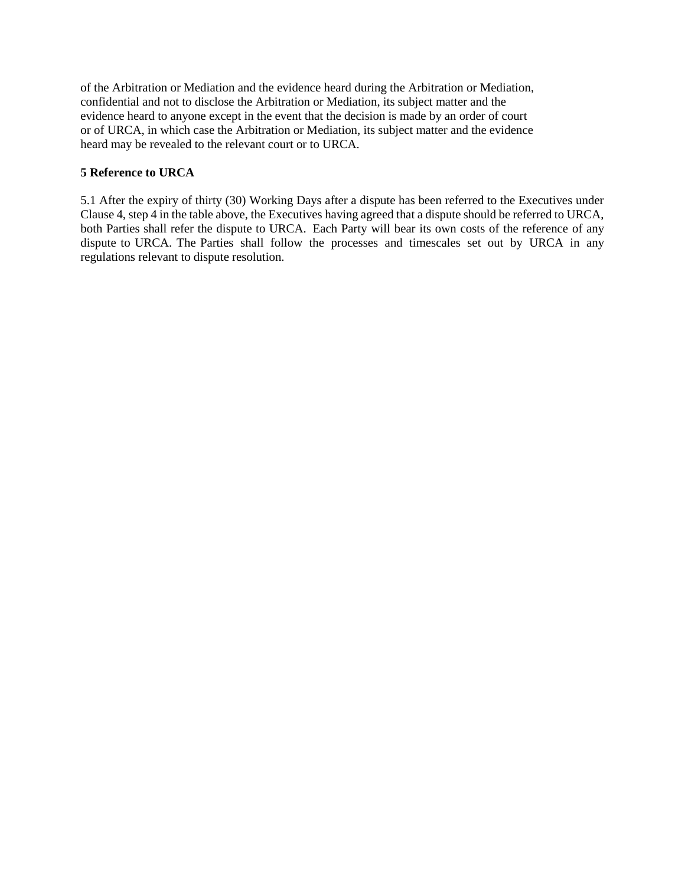of the Arbitration or Mediation and the evidence heard during the Arbitration or Mediation, confidential and not to disclose the Arbitration or Mediation, its subject matter and the evidence heard to anyone except in the event that the decision is made by an order of court or of URCA, in which case the Arbitration or Mediation, its subject matter and the evidence heard may be revealed to the relevant court or to URCA.

## **5 Reference to URCA**

5.1 After the expiry of thirty (30) Working Days after a dispute has been referred to the Executives under Clause 4, step 4 in the table above, the Executives having agreed that a dispute should be referred to URCA, both Parties shall refer the dispute to URCA. Each Party will bear its own costs of the reference of any dispute to URCA. The Parties shall follow the processes and timescales set out by URCA in any regulations relevant to dispute resolution.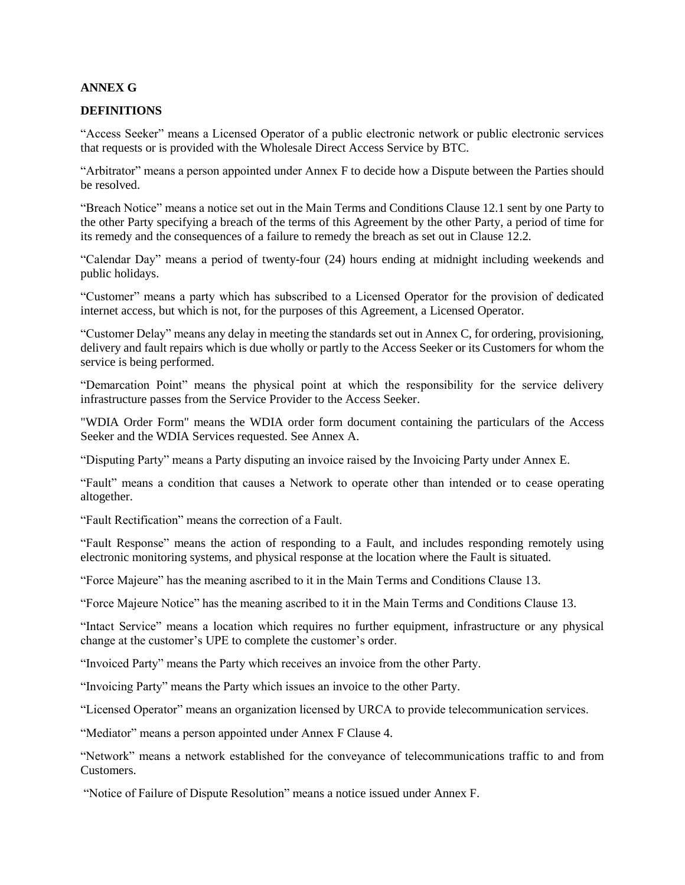#### **ANNEX G**

#### **DEFINITIONS**

"Access Seeker" means a Licensed Operator of a public electronic network or public electronic services that requests or is provided with the Wholesale Direct Access Service by BTC.

"Arbitrator" means a person appointed under Annex F to decide how a Dispute between the Parties should be resolved.

"Breach Notice" means a notice set out in the Main Terms and Conditions Clause 12.1 sent by one Party to the other Party specifying a breach of the terms of this Agreement by the other Party, a period of time for its remedy and the consequences of a failure to remedy the breach as set out in Clause 12.2.

"Calendar Day" means a period of twenty-four (24) hours ending at midnight including weekends and public holidays.

"Customer" means a party which has subscribed to a Licensed Operator for the provision of dedicated internet access, but which is not, for the purposes of this Agreement, a Licensed Operator.

"Customer Delay" means any delay in meeting the standards set out in Annex C, for ordering, provisioning, delivery and fault repairs which is due wholly or partly to the Access Seeker or its Customers for whom the service is being performed.

"Demarcation Point" means the physical point at which the responsibility for the service delivery infrastructure passes from the Service Provider to the Access Seeker.

"WDIA Order Form" means the WDIA order form document containing the particulars of the Access Seeker and the WDIA Services requested. See Annex A.

"Disputing Party" means a Party disputing an invoice raised by the Invoicing Party under Annex E.

"Fault" means a condition that causes a Network to operate other than intended or to cease operating altogether.

"Fault Rectification" means the correction of a Fault.

"Fault Response" means the action of responding to a Fault, and includes responding remotely using electronic monitoring systems, and physical response at the location where the Fault is situated.

"Force Majeure" has the meaning ascribed to it in the Main Terms and Conditions Clause 13.

"Force Majeure Notice" has the meaning ascribed to it in the Main Terms and Conditions Clause 13.

"Intact Service" means a location which requires no further equipment, infrastructure or any physical change at the customer's UPE to complete the customer's order.

"Invoiced Party" means the Party which receives an invoice from the other Party.

"Invoicing Party" means the Party which issues an invoice to the other Party.

"Licensed Operator" means an organization licensed by URCA to provide telecommunication services.

"Mediator" means a person appointed under Annex F Clause 4.

"Network" means a network established for the conveyance of telecommunications traffic to and from Customers.

"Notice of Failure of Dispute Resolution" means a notice issued under Annex F.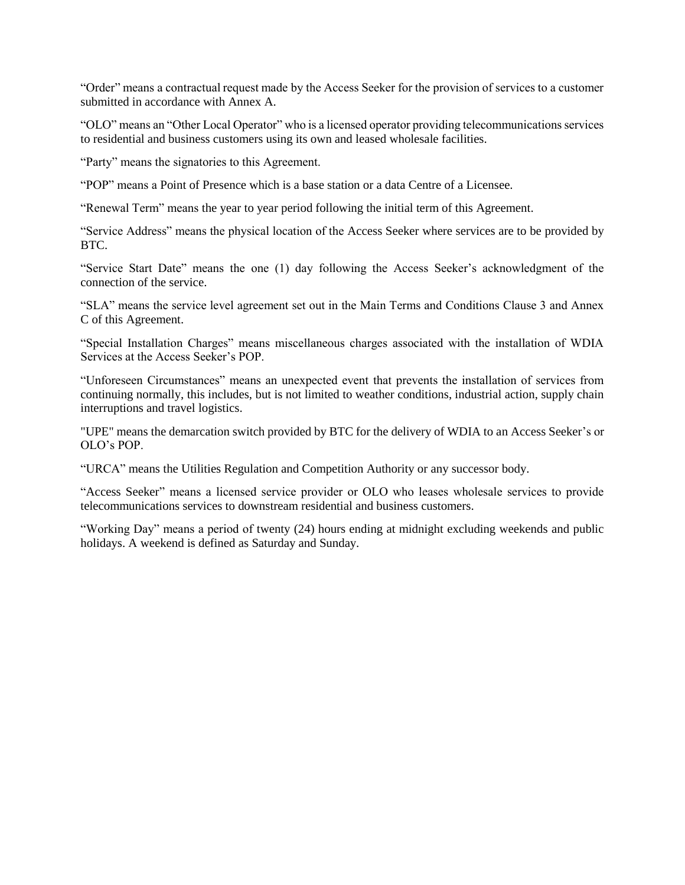"Order" means a contractual request made by the Access Seeker for the provision of services to a customer submitted in accordance with Annex A.

"OLO" means an "Other Local Operator" who is a licensed operator providing telecommunications services to residential and business customers using its own and leased wholesale facilities.

"Party" means the signatories to this Agreement.

"POP" means a Point of Presence which is a base station or a data Centre of a Licensee.

"Renewal Term" means the year to year period following the initial term of this Agreement.

"Service Address" means the physical location of the Access Seeker where services are to be provided by BTC.

"Service Start Date" means the one (1) day following the Access Seeker's acknowledgment of the connection of the service.

"SLA" means the service level agreement set out in the Main Terms and Conditions Clause 3 and Annex C of this Agreement.

"Special Installation Charges" means miscellaneous charges associated with the installation of WDIA Services at the Access Seeker's POP.

"Unforeseen Circumstances" means an unexpected event that prevents the installation of services from continuing normally, this includes, but is not limited to weather conditions, industrial action, supply chain interruptions and travel logistics.

"UPE" means the demarcation switch provided by BTC for the delivery of WDIA to an Access Seeker's or OLO's POP.

"URCA" means the Utilities Regulation and Competition Authority or any successor body.

"Access Seeker" means a licensed service provider or OLO who leases wholesale services to provide telecommunications services to downstream residential and business customers.

"Working Day" means a period of twenty (24) hours ending at midnight excluding weekends and public holidays. A weekend is defined as Saturday and Sunday.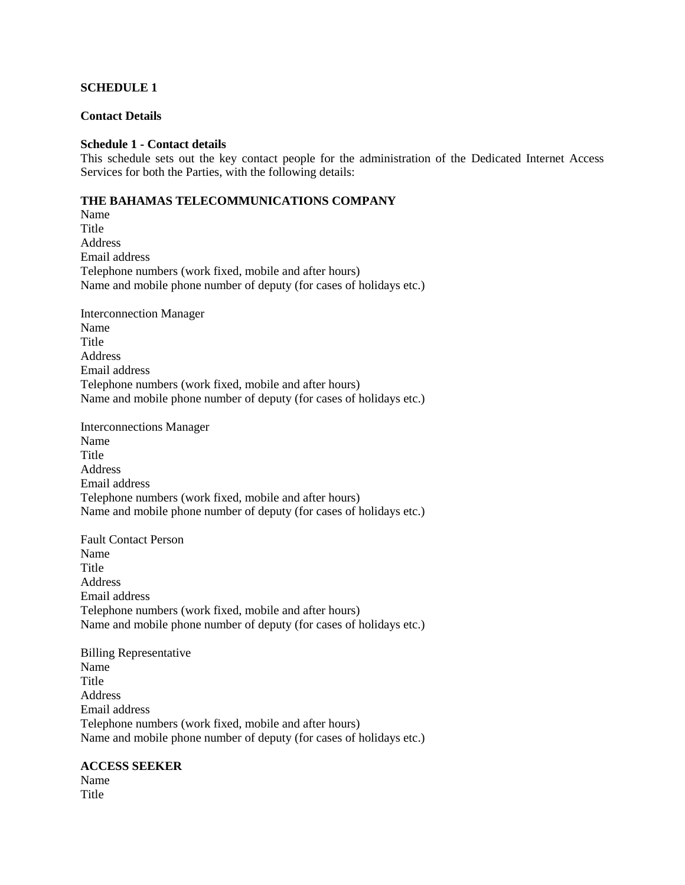#### **SCHEDULE 1**

#### **Contact Details**

#### **Schedule 1 - Contact details**

This schedule sets out the key contact people for the administration of the Dedicated Internet Access Services for both the Parties, with the following details:

#### **THE BAHAMAS TELECOMMUNICATIONS COMPANY**

Name Title Address Email address Telephone numbers (work fixed, mobile and after hours) Name and mobile phone number of deputy (for cases of holidays etc.)

Interconnection Manager Name **Title** Address Email address Telephone numbers (work fixed, mobile and after hours) Name and mobile phone number of deputy (for cases of holidays etc.)

Interconnections Manager Name Title Address Email address Telephone numbers (work fixed, mobile and after hours) Name and mobile phone number of deputy (for cases of holidays etc.)

Fault Contact Person Name **Title** Address Email address Telephone numbers (work fixed, mobile and after hours) Name and mobile phone number of deputy (for cases of holidays etc.)

Billing Representative Name Title Address Email address Telephone numbers (work fixed, mobile and after hours) Name and mobile phone number of deputy (for cases of holidays etc.)

#### **ACCESS SEEKER**

Name **Title**